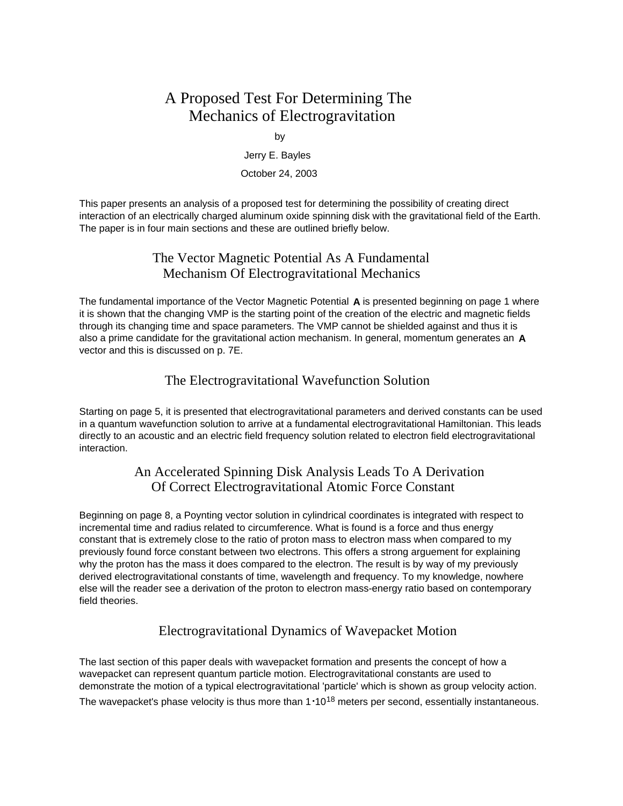# A Proposed Test For Determining The Mechanics of Electrogravitation

by

Jerry E. Bayles

#### October 24, 2003

This paper presents an analysis of a proposed test for determining the possibility of creating direct interaction of an electrically charged aluminum oxide spinning disk with the gravitational field of the Earth. The paper is in four main sections and these are outlined briefly below.

## The Vector Magnetic Potential As A Fundamental Mechanism Of Electrogravitational Mechanics

The fundamental importance of the Vector Magnetic Potential **A** is presented beginning on page 1 where it is shown that the changing VMP is the starting point of the creation of the electric and magnetic fields through its changing time and space parameters. The VMP cannot be shielded against and thus it is also a prime candidate for the gravitational action mechanism. In general, momentum generates an **A** vector and this is discussed on p. 7E.

## The Electrogravitational Wavefunction Solution

Starting on page 5, it is presented that electrogravitational parameters and derived constants can be used in a quantum wavefunction solution to arrive at a fundamental electrogravitational Hamiltonian. This leads directly to an acoustic and an electric field frequency solution related to electron field electrogravitational interaction.

## An Accelerated Spinning Disk Analysis Leads To A Derivation Of Correct Electrogravitational Atomic Force Constant

Beginning on page 8, a Poynting vector solution in cylindrical coordinates is integrated with respect to incremental time and radius related to circumference. What is found is a force and thus energy constant that is extremely close to the ratio of proton mass to electron mass when compared to my previously found force constant between two electrons. This offers a strong arguement for explaining why the proton has the mass it does compared to the electron. The result is by way of my previously derived electrogravitational constants of time, wavelength and frequency. To my knowledge, nowhere else will the reader see a derivation of the proton to electron mass-energy ratio based on contemporary field theories.

## Electrogravitational Dynamics of Wavepacket Motion

The last section of this paper deals with wavepacket formation and presents the concept of how a wavepacket can represent quantum particle motion. Electrogravitational constants are used to demonstrate the motion of a typical electrogravitational 'particle' which is shown as group velocity action. The wavepacket's phase velocity is thus more than 1**.**1018 meters per second, essentially instantaneous.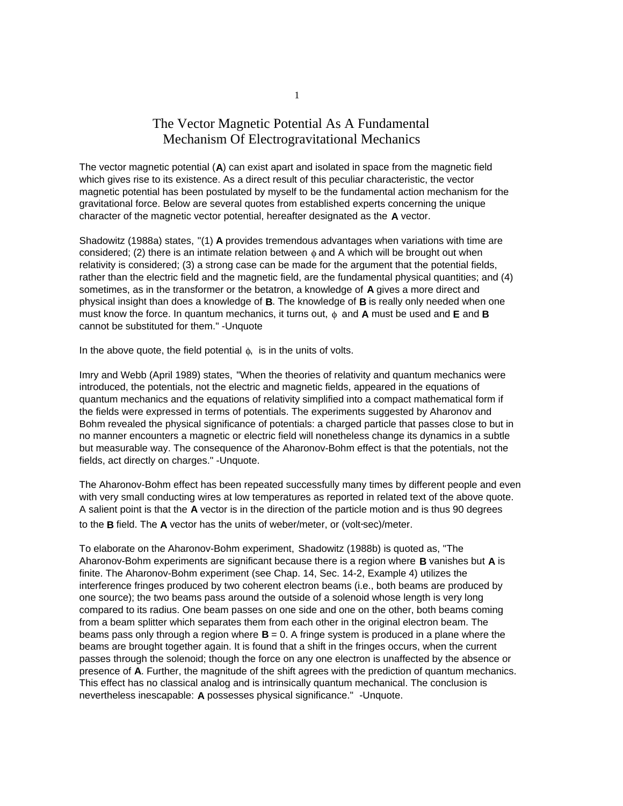## The Vector Magnetic Potential As A Fundamental Mechanism Of Electrogravitational Mechanics

The vector magnetic potential (**A**) can exist apart and isolated in space from the magnetic field which gives rise to its existence. As a direct result of this peculiar characteristic, the vector magnetic potential has been postulated by myself to be the fundamental action mechanism for the gravitational force. Below are several quotes from established experts concerning the unique character of the magnetic vector potential, hereafter designated as the **A** vector.

Shadowitz (1988a) states, "(1) **A** provides tremendous advantages when variations with time are considered; (2) there is an intimate relation between  $\phi$  and A which will be brought out when relativity is considered; (3) a strong case can be made for the argument that the potential fields, rather than the electric field and the magnetic field, are the fundamental physical quantities; and (4) sometimes, as in the transformer or the betatron, a knowledge of **A** gives a more direct and physical insight than does a knowledge of **B**. The knowledge of **B** is really only needed when one must know the force. In quantum mechanics, it turns out, φ and **A** must be used and **E** and **B** cannot be substituted for them." -Unquote

In the above quote, the field potential  $\phi$ , is in the units of volts.

Imry and Webb (April 1989) states, "When the theories of relativity and quantum mechanics were introduced, the potentials, not the electric and magnetic fields, appeared in the equations of quantum mechanics and the equations of relativity simplified into a compact mathematical form if the fields were expressed in terms of potentials. The experiments suggested by Aharonov and Bohm revealed the physical significance of potentials: a charged particle that passes close to but in no manner encounters a magnetic or electric field will nonetheless change its dynamics in a subtle but measurable way. The consequence of the Aharonov-Bohm effect is that the potentials, not the fields, act directly on charges." -Unquote.

The Aharonov-Bohm effect has been repeated successfully many times by different people and even with very small conducting wires at low temperatures as reported in related text of the above quote. A salient point is that the **A** vector is in the direction of the particle motion and is thus 90 degrees to the **B** field. The **A** vector has the units of weber/meter, or (volt**.** sec)/meter.

To elaborate on the Aharonov-Bohm experiment, Shadowitz (1988b) is quoted as, "The Aharonov-Bohm experiments are significant because there is a region where **B** vanishes but **A** is finite. The Aharonov-Bohm experiment (see Chap. 14, Sec. 14-2, Example 4) utilizes the interference fringes produced by two coherent electron beams (i.e., both beams are produced by one source); the two beams pass around the outside of a solenoid whose length is very long compared to its radius. One beam passes on one side and one on the other, both beams coming from a beam splitter which separates them from each other in the original electron beam. The beams pass only through a region where **B** = 0. A fringe system is produced in a plane where the beams are brought together again. It is found that a shift in the fringes occurs, when the current passes through the solenoid; though the force on any one electron is unaffected by the absence or presence of **A**. Further, the magnitude of the shift agrees with the prediction of quantum mechanics. This effect has no classical analog and is intrinsically quantum mechanical. The conclusion is nevertheless inescapable: **A** possesses physical significance." -Unquote.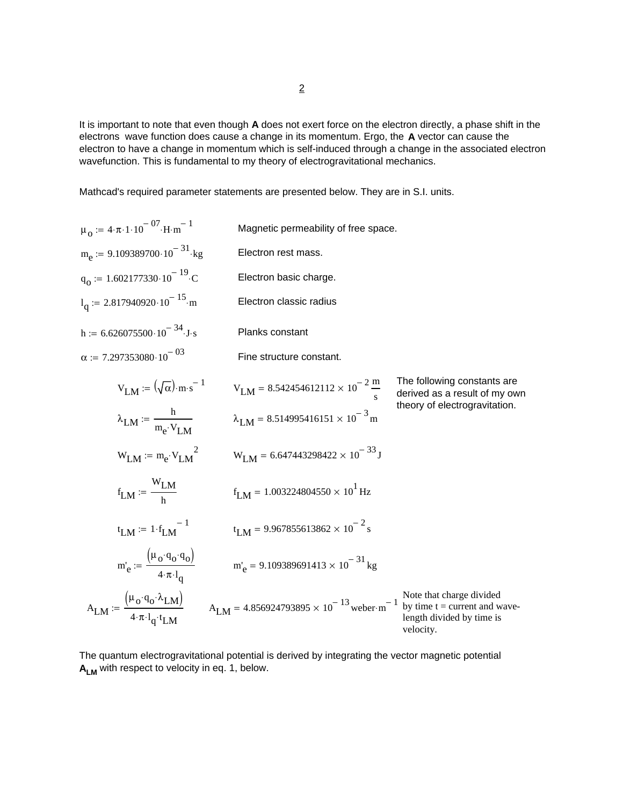It is important to note that even though **A** does not exert force on the electron directly, a phase shift in the electrons wave function does cause a change in its momentum. Ergo, the **A** vector can cause the electron to have a change in momentum which is self-induced through a change in the associated electron wavefunction. This is fundamental to my theory of electrogravitational mechanics.

Mathcad's required parameter statements are presented below. They are in S.I. units.

$$
\mu_{0} := 4 \cdot \pi \cdot 1 \cdot 10^{-07} \cdot H \cdot m^{-1}
$$
 Magnetic permeability of free space.  
\n
$$
m_{e} := 9.109389700 \cdot 10^{-31} \cdot kg
$$
Electron rest mass.  
\n
$$
q_{0} := 1.602177330 \cdot 10^{-19} \cdot C
$$
Electron basic charge.  
\n
$$
l_{q} := 2.817940920 \cdot 10^{-15} \cdot m
$$
Electron classic radius  
\n
$$
h := 6.626075500 \cdot 10^{-34} \cdot J \cdot s
$$
 Planks constant  
\n
$$
\alpha := 7.297353080 \cdot 10^{-03}
$$
 Fine structure constant.

$$
V_{LM} := (\sqrt{\alpha}) \cdot m \cdot s^{-1}
$$
\n
$$
V_{LM} = 8.542454612112 \times 10^{-2} \frac{m}{s}
$$
\nThe following constants are derived as a result of my own theory of electrogravitation.  
\n
$$
\lambda_{LM} := \frac{h}{m_e \cdot V_{LM}}
$$
\n
$$
V_{LM} = m_e \cdot V_{LM}
$$
\n
$$
V_{LM} = 6.647443298422 \times 10^{-3} \text{ m}
$$
\n
$$
V_{LM} := \frac{W_{LM}}{h}
$$
\n
$$
f_{LM} = 1.003224804550 \times 10^{1} \text{ Hz}
$$
\n
$$
t_{LM} := 1 \cdot f_{LM}^{-1}
$$
\n
$$
t_{LM} = 9.967855613862 \times 10^{-2} \text{s}
$$
\n
$$
m_e' := \frac{(\mu_0 \cdot q_0 \cdot q_0)}{4 \cdot \pi \cdot l_q}
$$
\n
$$
m_e' = 9.109389691413 \times 10^{-31} \text{ kg}
$$
\n
$$
A_{LM} := \frac{(\mu_0 \cdot q_0 \cdot \lambda_{LM})}{4 \cdot \pi \cdot l_q \cdot t_{LM}}
$$
\n
$$
A_{LM} = 4.856924793895 \times 10^{-13} \text{ weber-m}^{-1} \text{ by time } t = current \text{ and wave-length divided by time is velocity.}
$$

The quantum electrogravitational potential is derived by integrating the vector magnetic potential **A<sub>LM</sub>** with respect to velocity in eq. 1, below.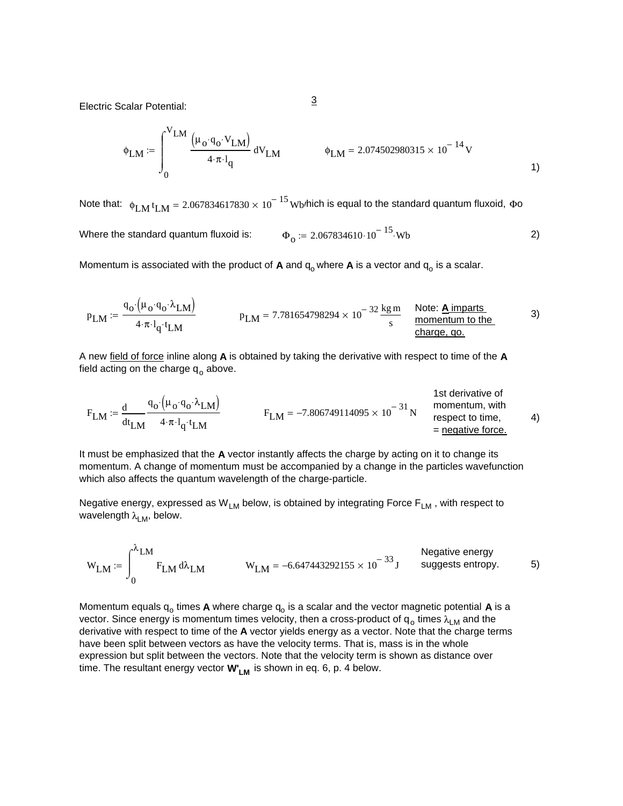Electric Scalar Potential: 3

$$
\phi_{LM} := \int_{0}^{V_{LM}} \frac{\left(\mu_{o} \cdot q_{o} \cdot V_{LM}\right)}{4 \cdot \pi \cdot l_{q}} dV_{LM} \qquad \phi_{LM} = 2.074502980315 \times 10^{-14} \,\text{V}
$$

Where the standard quantum fluxoid is:  $\Phi_0 = 2.067834610 \cdot 10^{-15}$  Wb 2) Note that:  $\phi_{\rm LM}$  t $_{\rm LM}$  = 2.067834617830  $\times$  10 $^{-15}$  Wb/hich is equal to the standard quantum fluxoid,  $\Phi$ o

Momentum is associated with the product of  $A$  and  $q_0$  where  $A$  is a vector and  $q_0$  is a scalar.

$$
p_{LM} := \frac{q_o \cdot (\mu_o \cdot q_o \cdot \lambda_{LM})}{4 \cdot \pi \cdot l_q \cdot t_{LM}}
$$
 
$$
p_{LM} = 7.781654798294 \times 10^{-32} \frac{\text{kg m}}{\text{s}} \frac{\text{Note: } \textbf{A} \text{ imparts}}{\text{momentum to the} \text{ change, qo.}}
$$

A new field of force inline along **A** is obtained by taking the derivative with respect to time of the **A** field acting on the charge  $q_0$  above.

$$
F_{LM} := \frac{d}{dt_{LM}} \frac{q_o \cdot (\mu_o \cdot q_o \cdot \lambda_{LM})}{4 \cdot \pi \cdot l_q \cdot t_{LM}}
$$
  
1st derivative of momentum, with  
1st derivative of momentum, with  
1st derivative of momentum, with  
1st derivative of  
1st derivative of  
1st derivative of  
1st derivative of  
1st derivative of  
1st derivative of  
1st derivative of  
1st derivative of  
1st derivative of  
1st derivative of  
1st derivative of  
1st derivative of  
1st derivative of  
1st derivative of  
1st derivative of  
1st derivative of  
1st derivative of  
1st derivative of  
1st derivative of  
1st derivative of  
1st derivative of  
1st derivative of  
1st derivative of  
1st derivative of  
1st derivative of

It must be emphasized that the **A** vector instantly affects the charge by acting on it to change its momentum. A change of momentum must be accompanied by a change in the particles wavefunction which also affects the quantum wavelength of the charge-particle.

Negative energy, expressed as  $W_{LM}$  below, is obtained by integrating Force  $F_{LM}$ , with respect to wavelength  $\lambda_{LM}$ , below.

$$
W_{LM} := \int_0^{\lambda_{LM}} F_{LM} d\lambda_{LM}
$$
 Negative energy  
gests entropy. 5)

Momentum equals  $q_0$  times **A** where charge  $q_0$  is a scalar and the vector magnetic potential **A** is a vector. Since energy is momentum times velocity, then a cross-product of  $q_0$  times  $\lambda_{LM}$  and the derivative with respect to time of the **A** vector yields energy as a vector. Note that the charge terms have been split between vectors as have the velocity terms. That is, mass is in the whole expression but split between the vectors. Note that the velocity term is shown as distance over time. The resultant energy vector **W'<sub>LM</sub>** is shown in eq. 6, p. 4 below.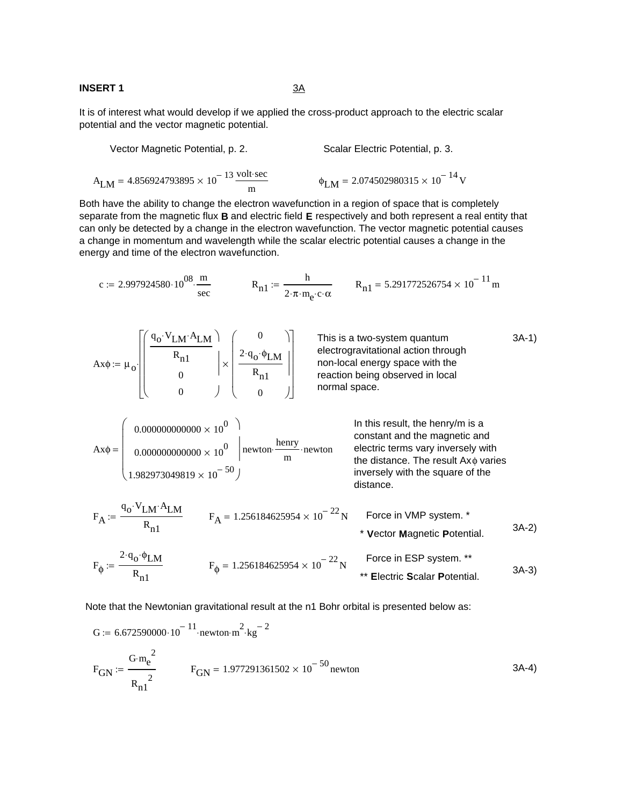#### **INSERT 1** 3A

It is of interest what would develop if we applied the cross-product approach to the electric scalar potential and the vector magnetic potential.

Vector Magnetic Potential, p. 2. Scalar Electric Potential, p. 3.  
\n
$$
A_{LM} = 4.856924793895 \times 10^{-13} \frac{\text{volt} \cdot \text{sec}}{m}
$$
\n
$$
\phi_{LM} = 2.074502980315 \times 10^{-14} \text{ V}
$$

Both have the ability to change the electron wavefunction in a region of space that is completely separate from the magnetic flux **B** and electric field **E** respectively and both represent a real entity that can only be detected by a change in the electron wavefunction. The vector magnetic potential causes a change in momentum and wavelength while the scalar electric potential causes a change in the energy and time of the electron wavefunction.

c := 2.997924580·10<sup>08</sup>·
$$
\frac{m}{\sec}
$$
  $R_{n1} = \frac{h}{2 \cdot \pi \cdot m_e \cdot c \cdot \alpha}$   $R_{n1} = 5.291772526754 \times 10^{-11} m$ 

$$
Ax\phi := \mu_0 \left[\begin{pmatrix} q_0 \cdot V_{LM} \cdot A_{LM} \\ R_{n1} \\ 0 \\ 0 \end{pmatrix} \times \begin{pmatrix} 0 \\ 2 \cdot q_0 \cdot \phi_{LM} \\ R_{n1} \\ 0 \end{pmatrix} \right]
$$
\nThis is a two-system quantum  
electrogravitational action through  
non-local energy space with the  
reaction being observed in local  
normal space.  
\n
$$
Ax\phi = \begin{pmatrix} 0.00000000000000 \times 10^0 \\ 0.00000000000000000 \times 10^0 \\ 1.982973049819 \times 10^{-50} \end{pmatrix}
$$
\nIn this result, the henry/m is a  
constant and the magnetic and  
1.982973049819 × 10<sup>-50</sup>  
\n
$$
F_A = \frac{q_0 \cdot V_{LM} \cdot A_{LM}}{R_{n1}}
$$
\n
$$
F_A = 1.256184625954 \times 10^{-22} N
$$
\nForce in VMP system.<sup>\*</sup>  
\n
$$
Y \text{ vector Magnetic Potential.}
$$
\n
$$
A = 3A-2
$$

$$
F_{\phi} := \frac{2 \cdot q_{o} \cdot \phi_{LM}}{R_{n1}}
$$
\n
$$
F_{\phi} = 1.256184625954 \times 10^{-22} \text{ N}
$$
\nForce in ESP system. \*\*  
\n**Electric Scalar Potential.** 3A-3)

Note that the Newtonian gravitational result at the n1 Bohr orbital is presented below as:

$$
G := 6.672590000 \cdot 10^{-11} \cdot \text{newton} \cdot \text{m}^{2} \cdot \text{kg}^{-2}
$$
  
\n
$$
F_{GN} := \frac{G \cdot \text{m}^{2}_{e}}{R_{n1}^{2}}
$$
\n
$$
F_{GN} = 1.977291361502 \times 10^{-50} \text{ newton}
$$
\n
$$
3A-4
$$
\n
$$
3A-4
$$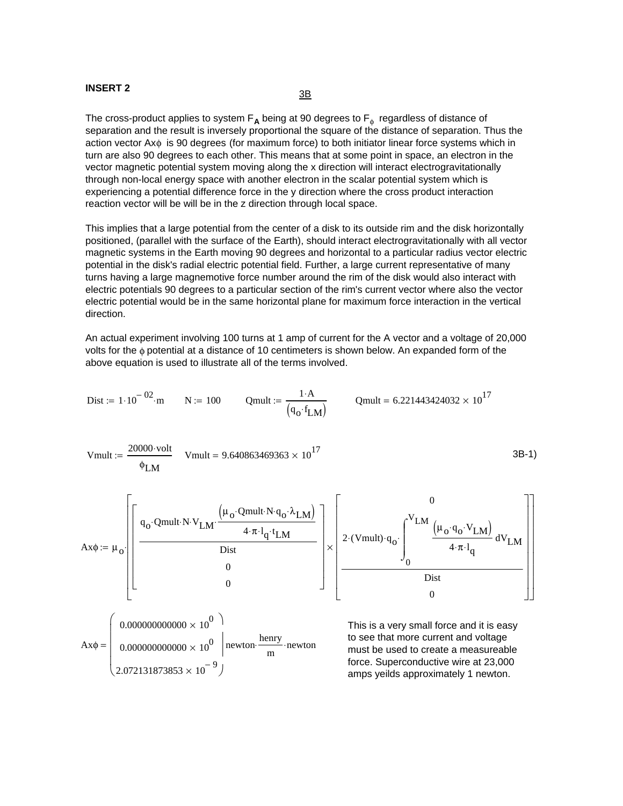# **INSERT 2** 3B

The cross-product applies to system  $F_A$  being at 90 degrees to  $F_\phi$  regardless of distance of separation and the result is inversely proportional the square of the distance of separation. Thus the action vector Axφ is 90 degrees (for maximum force) to both initiator linear force systems which in turn are also 90 degrees to each other. This means that at some point in space, an electron in the vector magnetic potential system moving along the x direction will interact electrogravitationally through non-local energy space with another electron in the scalar potential system which is experiencing a potential difference force in the y direction where the cross product interaction reaction vector will be will be in the z direction through local space.

This implies that a large potential from the center of a disk to its outside rim and the disk horizontally positioned, (parallel with the surface of the Earth), should interact electrogravitationally with all vector magnetic systems in the Earth moving 90 degrees and horizontal to a particular radius vector electric potential in the disk's radial electric potential field. Further, a large current representative of many turns having a large magnemotive force number around the rim of the disk would also interact with electric potentials 90 degrees to a particular section of the rim's current vector where also the vector electric potential would be in the same horizontal plane for maximum force interaction in the vertical direction.

An actual experiment involving 100 turns at 1 amp of current for the A vector and a voltage of 20,000 volts for the φ potential at a distance of 10 centimeters is shown below. An expanded form of the above equation is used to illustrate all of the terms involved.

1 A⋅

$$
\text{Dist} := 1 \cdot 10^{-02} \cdot \text{m} \qquad \text{N} := 100 \qquad \text{Qmult} := \frac{1 \cdot \text{A}}{(q_{\text{o}} \cdot f_{\text{LM}})} \qquad \text{Qmult} = 6.221443424032 \times 10^{17}
$$
\n
$$
\text{Vmult} := \frac{20000 \cdot \text{volt}}{\phi_{\text{LM}}} \qquad \text{Vmult} = 9.640863469363 \times 10^{17} \qquad \text{3B-1}
$$
\n
$$
\text{Ax} \phi := \mu_{\text{o}} \cdot \left[ \frac{q_{\text{o}} \cdot \text{Qmult} \cdot \text{N} \cdot \text{V}_{\text{LM}} \cdot \frac{(\mu_{\text{o}} \cdot \text{Qmult} \cdot \text{N} \cdot q_{\text{o}} \cdot \lambda_{\text{LM}})}{4 \cdot \pi \cdot 1_{q} \cdot t_{\text{LM}}} \right] \times \left[ 2 \cdot (\text{Vmult}) \cdot q_{\text{o}} \cdot \left[ \frac{\text{V}_{\text{LM}} \left( \mu_{\text{o}} \cdot q_{\text{o}} \cdot \text{V}_{\text{LM}} \right)}{4 \cdot \pi \cdot 1_{q}} \text{d} \text{V}_{\text{LM}} \right] \right]
$$
\n
$$
\text{Ax} \phi = \left( \begin{array}{c} 0.000000000000 \times 10^{0} \\ 0.0000000000000 \times 10^{0} \\ 0.000000000000000 \times 10^{0} \\ 2.072131873853 \times 10^{-9} \end{array} \right) \text{newton} \qquad \begin{array}{c} \text{This is a very small force and it is easy to see that more current and voltage} \\ \text{most be used to create a measurable force. Superconductive wire at 23,000} \\ \text{cm the same as well as approximately 1 newton.} \end{array}
$$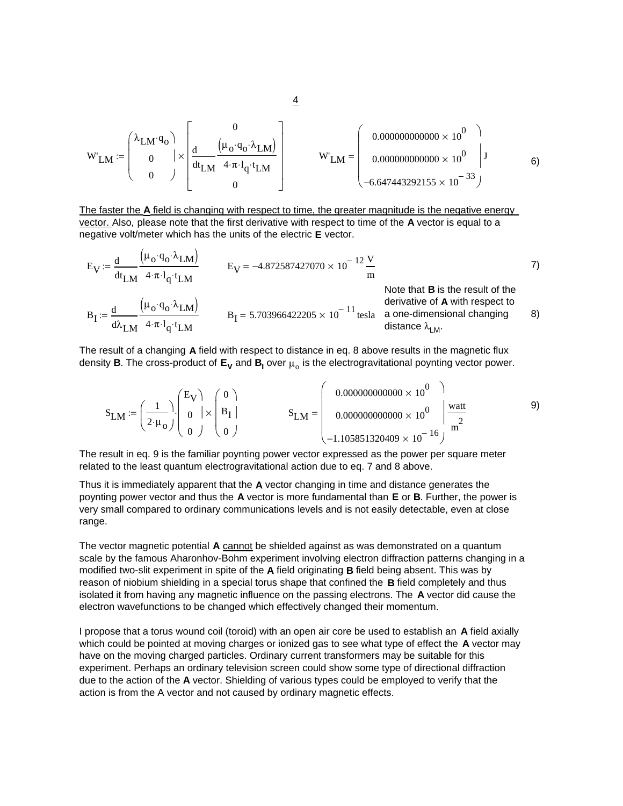$$
W'_{LM} := \begin{pmatrix} \lambda_{LM} \cdot q_o \\ 0 \\ 0 \end{pmatrix} \times \begin{bmatrix} 0 \\ \frac{d}{dt_{LM}} \frac{(\mu_o \cdot q_o \cdot \lambda_{LM})}{4 \cdot \pi \cdot l_q \cdot t_{LM}} \\ 0 \end{pmatrix} \qquad W'_{LM} = \begin{pmatrix} 0.00000000000 \times 10^0 \\ 0.00000000000 \times 10^0 \\ -6.647443292155 \times 10^{-33} \end{pmatrix} \qquad 6)
$$

The faster the **A** field is changing with respect to time, the greater magnitude is the negative energy vector. Also, please note that the first derivative with respect to time of the **A** vector is equal to a negative volt/meter which has the units of the electric **E** vector.

 $\overline{1}$ 

$$
E_V := \frac{d}{dt_{LM}} \frac{(\mu_0 \cdot q_0 \cdot \lambda_{LM})}{4 \cdot \pi \cdot l_q \cdot t_{LM}}
$$
  
\n
$$
B_I := \frac{d}{d\lambda_{LM}} \frac{(\mu_0 \cdot q_0 \cdot \lambda_{LM})}{4 \cdot \pi \cdot l_q \cdot t_{LM}}
$$
  
\n
$$
B_I = 5.703966422205 \times 10^{-11} \text{ tesla} \text{ as the result of the derivative of A with respect to a one-dimensional changing distance  $\lambda_{LM}$ .
$$

The result of a changing **A** field with respect to distance in eq. 8 above results in the magnetic flux density **B**. The cross-product of  $E_V$  and  $B_I$  over  $\mu_o$  is the electrogravitational poynting vector power.

$$
S_{LM} := \left(\frac{1}{2 \cdot \mu_o}\right) \begin{pmatrix} E_V \\ 0 \\ 0 \end{pmatrix} \times \begin{pmatrix} 0 \\ B_I \\ 0 \end{pmatrix} \qquad S_{LM} = \begin{pmatrix} 0.0000000000000 \times 10^0 \\ 0.0000000000000 \times 10^0 \\ -1.105851320409 \times 10^{-16} \end{pmatrix} \frac{watt}{m^2} \qquad (9)
$$

The result in eq. 9 is the familiar poynting power vector expressed as the power per square meter related to the least quantum electrogravitational action due to eq. 7 and 8 above.

Thus it is immediately apparent that the **A** vector changing in time and distance generates the poynting power vector and thus the **A** vector is more fundamental than **E** or **B**. Further, the power is very small compared to ordinary communications levels and is not easily detectable, even at close range.

The vector magnetic potential **A** cannot be shielded against as was demonstrated on a quantum scale by the famous Aharonhov-Bohm experiment involving electron diffraction patterns changing in a modified two-slit experiment in spite of the **A** field originating **B** field being absent. This was by reason of niobium shielding in a special torus shape that confined the **B** field completely and thus isolated it from having any magnetic influence on the passing electrons. The **A** vector did cause the electron wavefunctions to be changed which effectively changed their momentum.

I propose that a torus wound coil (toroid) with an open air core be used to establish an **A** field axially which could be pointed at moving charges or ionized gas to see what type of effect the **A** vector may have on the moving charged particles. Ordinary current transformers may be suitable for this experiment. Perhaps an ordinary television screen could show some type of directional diffraction due to the action of the **A** vector. Shielding of various types could be employed to verify that the action is from the A vector and not caused by ordinary magnetic effects.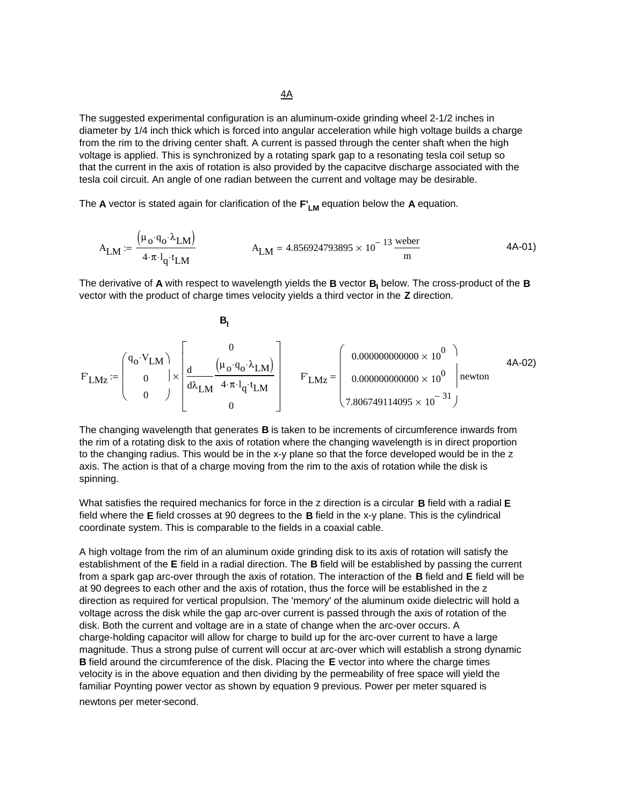The suggested experimental configuration is an aluminum-oxide grinding wheel 2-1/2 inches in diameter by 1/4 inch thick which is forced into angular acceleration while high voltage builds a charge from the rim to the driving center shaft. A current is passed through the center shaft when the high voltage is applied. This is synchronized by a rotating spark gap to a resonating tesla coil setup so that the current in the axis of rotation is also provided by the capacitve discharge associated with the tesla coil circuit. An angle of one radian between the current and voltage may be desirable.

The **A** vector is stated again for clarification of the  $F'_{LM}$  equation below the **A** equation.

$$
A_{LM} := \frac{(\mu_0 \cdot q_0 \cdot \lambda_{LM})}{4 \cdot \pi \cdot l_q \cdot t_{LM}} \qquad A_{LM} = 4.856924793895 \times 10^{-13} \frac{\text{weber}}{\text{m}} \qquad (4A-01)
$$

The derivative of **A** with respect to wavelength yields the **B** vector **B<sub>I</sub>** below. The cross-product of the **B** vector with the product of charge times velocity yields a third vector in the **Z** direction.

$$
F_{L M Z} := \begin{pmatrix} q_{o} \cdot V_{L M} \\ 0 \\ 0 \end{pmatrix} \times \begin{bmatrix} 0 \\ \frac{d}{d \lambda_{L M}} \frac{(\mu_{o} \cdot q_{o} \cdot \lambda_{L M})}{4 \cdot \pi \cdot l_{q} \cdot t_{L M}} \\ 0 \end{bmatrix} \qquad F_{L M Z} = \begin{pmatrix} 0.00000000000 \times 10^{0} \\ 0.000000000000 \times 10^{0} \\ 7.806749114095 \times 10^{-31} \end{pmatrix}
$$
 4A-02)

The changing wavelength that generates **B** is taken to be increments of circumference inwards from the rim of a rotating disk to the axis of rotation where the changing wavelength is in direct proportion to the changing radius. This would be in the x-y plane so that the force developed would be in the z axis. The action is that of a charge moving from the rim to the axis of rotation while the disk is spinning.

What satisfies the required mechanics for force in the z direction is a circular **B** field with a radial **E** field where the **E** field crosses at 90 degrees to the **B** field in the x-y plane. This is the cylindrical coordinate system. This is comparable to the fields in a coaxial cable.

A high voltage from the rim of an aluminum oxide grinding disk to its axis of rotation will satisfy the establishment of the **E** field in a radial direction. The **B** field will be established by passing the current from a spark gap arc-over through the axis of rotation. The interaction of the **B** field and **E** field will be at 90 degrees to each other and the axis of rotation, thus the force will be established in the z direction as required for vertical propulsion. The 'memory' of the aluminum oxide dielectric will hold a voltage across the disk while the gap arc-over current is passed through the axis of rotation of the disk. Both the current and voltage are in a state of change when the arc-over occurs. A charge-holding capacitor will allow for charge to build up for the arc-over current to have a large magnitude. Thus a strong pulse of current will occur at arc-over which will establish a strong dynamic **B** field around the circumference of the disk. Placing the **E** vector into where the charge times velocity is in the above equation and then dividing by the permeability of free space will yield the familiar Poynting power vector as shown by equation 9 previous. Power per meter squared is newtons per meter-second.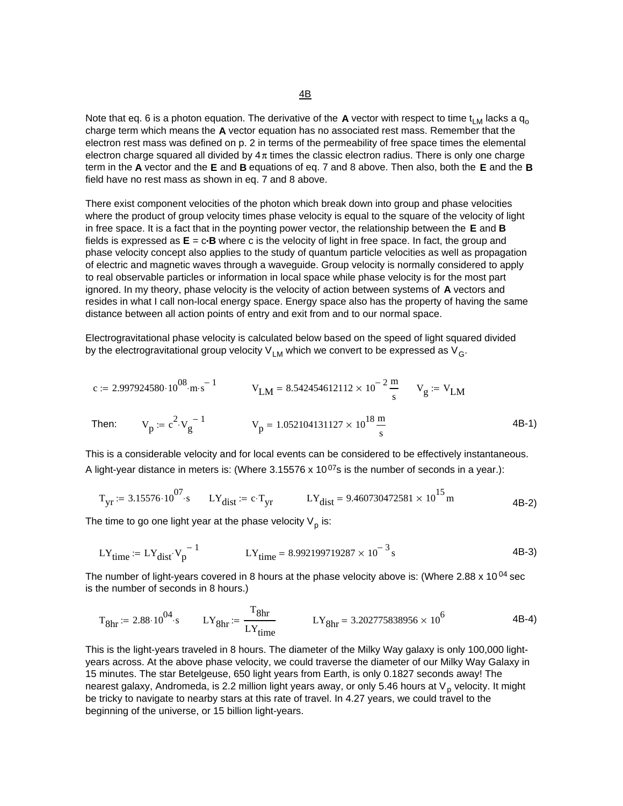Note that eq. 6 is a photon equation. The derivative of the **A** vector with respect to time  $t_{LM}$  lacks a  $q_o$ charge term which means the **A** vector equation has no associated rest mass. Remember that the electron rest mass was defined on p. 2 in terms of the permeability of free space times the elemental electron charge squared all divided by  $4\pi$  times the classic electron radius. There is only one charge term in the **A** vector and the **E** and **B** equations of eq. 7 and 8 above. Then also, both the **E** and the **B** field have no rest mass as shown in eq. 7 and 8 above.

There exist component velocities of the photon which break down into group and phase velocities where the product of group velocity times phase velocity is equal to the square of the velocity of light in free space. It is a fact that in the poynting power vector, the relationship between the **E** and **B** fields is expressed as **E** = c**.B** where c is the velocity of light in free space. In fact, the group and phase velocity concept also applies to the study of quantum particle velocities as well as propagation of electric and magnetic waves through a waveguide. Group velocity is normally considered to apply to real observable particles or information in local space while phase velocity is for the most part ignored. In my theory, phase velocity is the velocity of action between systems of **A** vectors and resides in what I call non-local energy space. Energy space also has the property of having the same distance between all action points of entry and exit from and to our normal space.

Electrogravitational phase velocity is calculated below based on the speed of light squared divided by the electrogravitational group velocity  $V_{LM}$  which we convert to be expressed as  $V_{G}$ .

$$
c := 2.997924580 \cdot 10^{08} \text{ m} \cdot \text{s}^{-1} \qquad V_{LM} = 8.542454612112 \times 10^{-2} \frac{\text{m}}{\text{s}} \qquad V_g := V_{LM}
$$
  
Then: 
$$
V_p := c^2 \cdot V_g^{-1} \qquad V_p = 1.052104131127 \times 10^{18} \frac{\text{m}}{\text{s}} \qquad (4B-1)
$$

This is a considerable velocity and for local events can be considered to be effectively instantaneous. A light-year distance in meters is: (Where  $3.15576 \times 10^{07}$ s is the number of seconds in a year.):

$$
T_{yr} = 3.15576 \cdot 10^{07} \cdot s
$$
  $LY_{dist} = c \cdot T_{yr}$   $LY_{dist} = 9.460730472581 \times 10^{15} \text{ m}$  4B-2)

The time to go one light year at the phase velocity  $V_p$  is:

$$
LY_{time} := LY_{dist} \cdot V_p^{-1}
$$
 
$$
LY_{time} = 8.992199719287 \times 10^{-3} s
$$
 4B-3)

The number of light-years covered in 8 hours at the phase velocity above is: (Where 2.88 x 10<sup>04</sup> sec is the number of seconds in 8 hours.)

$$
T_{8hr} = 2.88 \cdot 10^{04} \cdot s
$$
  $LY_{8hr} = \frac{T_{8hr}}{LY_{time}}$   $LY_{8hr} = 3.202775838956 \times 10^6$  4B-4)

This is the light-years traveled in 8 hours. The diameter of the Milky Way galaxy is only 100,000 lightyears across. At the above phase velocity, we could traverse the diameter of our Milky Way Galaxy in 15 minutes. The star Betelgeuse, 650 light years from Earth, is only 0.1827 seconds away! The nearest galaxy, Andromeda, is 2.2 million light years away, or only 5.46 hours at  $V_p$  velocity. It might be tricky to navigate to nearby stars at this rate of travel. In 4.27 years, we could travel to the beginning of the universe, or 15 billion light-years.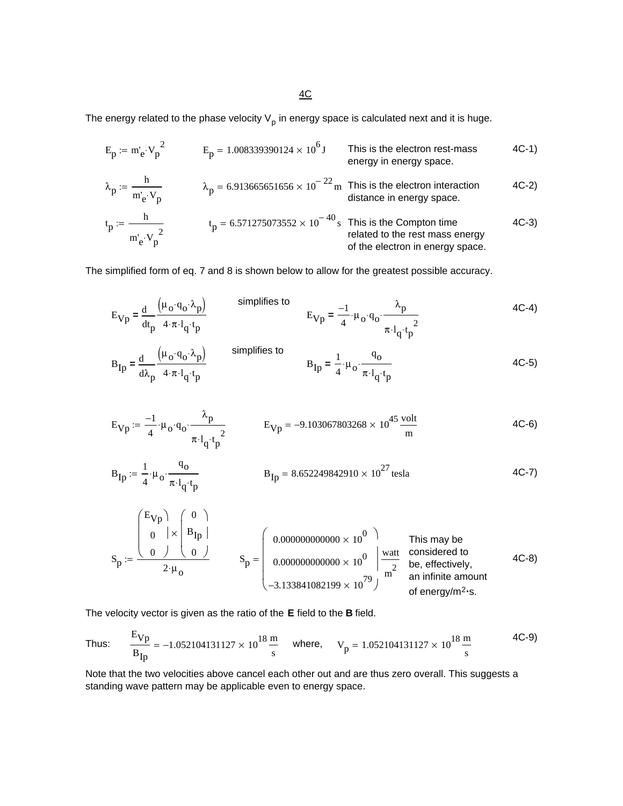$4C$ 

The energy related to the phase velocity  $V_p$  in energy space is calculated next and it is huge.

$$
E_p := m'_e \cdot V_p^2
$$
  
\n
$$
\lambda_p := \frac{h}{m'_e \cdot V_p}
$$
  
\n
$$
E_p = 1.008339390124 \times 10^6 \text{ J}
$$
  
\n
$$
E_p = 1.008339390124 \times 10^6 \text{ J}
$$
  
\n
$$
E_p = 1.008339390124 \times 10^6 \text{ J}
$$
  
\n
$$
E_p = 6.913665651656 \times 10^{-22} \text{ m}
$$
  
\n
$$
E_p = 6.913665651656 \times 10^{-22} \text{ m}
$$
  
\n
$$
E_p = 6.913665651656 \times 10^{-22} \text{ m}
$$
  
\n
$$
E_p = 6.913665651656 \times 10^{-22} \text{ m}
$$
  
\n
$$
E_p = 6.913665651656 \times 10^{-22} \text{ m}
$$
  
\n
$$
E_p = 6.913665651656 \times 10^{-22} \text{ m}
$$
  
\n
$$
E_p = 6.913665651656 \times 10^{-22} \text{ m}
$$
  
\n
$$
E_p = 6.913665651656 \times 10^{-22} \text{ m}
$$
  
\n
$$
E_p = 6.913665651656 \times 10^{-22} \text{ m}
$$
  
\n
$$
E_p = 6.913665651656 \times 10^{-22} \text{ m}
$$
  
\n
$$
E_p = 6.913665651656 \times 10^{-22} \text{ m}
$$
  
\n
$$
E_p = 6.913665651656 \times 10^{-22} \text{ m}
$$
  
\n
$$
E_p = 6.913665651656 \times 10^{-22} \text{ m}
$$
  
\n
$$
E_p = 6.913665651656 \times 10^{-22
$$

The simplified form of eq. 7 and 8 is shown below to allow for the greatest possible accuracy.

$$
E_{Vp} = \frac{d}{dt_p} \frac{(\mu_0 \cdot q_0 \cdot \lambda_p)}{4 \cdot \pi \cdot l_q \cdot t_p}
$$
\n
$$
B_{Ip} = \frac{d}{d\lambda_p} \frac{(\mu_0 \cdot q_0 \cdot \lambda_p)}{4 \cdot \pi \cdot l_q \cdot t_p}
$$
\n
$$
B_{Ip} = \frac{d}{d\lambda_p} \frac{(\mu_0 \cdot q_0 \cdot \lambda_p)}{4 \cdot \pi \cdot l_q \cdot t_p}
$$
\n
$$
B_{Ip} = \frac{1}{4} \cdot \mu_0 \cdot \frac{q_0}{\pi \cdot l_q \cdot t_p}
$$
\n
$$
B_{Ip} = \frac{1}{4} \cdot \mu_0 \cdot \frac{q_0}{\pi \cdot l_q \cdot t_p}
$$
\n
$$
4C-5
$$

$$
E_{Vp} := \frac{-1}{4} \cdot \mu_0 \cdot q_0 \cdot \frac{\lambda_p}{\pi \cdot l_q \cdot t_p^2}
$$
  $E_{Vp} = -9.103067803268 \times 10^{45} \frac{\text{volt}}{\text{m}}$  4C-6)

$$
B_{\text{Ip}} := \frac{1}{4} \cdot \mu_o \cdot \frac{q_o}{\pi \cdot l_q \cdot t_p} \qquad B_{\text{Ip}} = 8.652249842910 \times 10^{27} \text{ tesla} \qquad 4C-7)
$$

This may be considered to be, effectively, an infinite amount of energy/m2**.**s. Sp EVp ⎛ ⎞ 0 ⎛ ⎞ 0 0 ⎜ ⎜ ⎜ ⎝ ⎟ ⎠ BIp 0 ⎜ ⎜ ⎜ ⎝ ⎟ ⎠ × <sup>2</sup> <sup>µ</sup><sup>o</sup> <sup>⋅</sup> := Sp 0.000000000000 10<sup>0</sup> × 0.000000000000 10<sup>0</sup> × <sup>−</sup>3.133841082199 1079 × ⎛ ⎜ ⎜ ⎜ ⎜ ⎝ ⎞ ⎟ ⎟ ⎠ watt m2 <sup>=</sup> 4C-8)

The velocity vector is given as the ratio of the **E** field to the **B** field.

Thus: 
$$
\frac{E_{Vp}}{B_{Ip}} = -1.052104131127 \times 10^{18} \frac{m}{s}
$$
 where,  $V_p = 1.052104131127 \times 10^{18} \frac{m}{s}$  4C-9)

Note that the two velocities above cancel each other out and are thus zero overall. This suggests a standing wave pattern may be applicable even to energy space.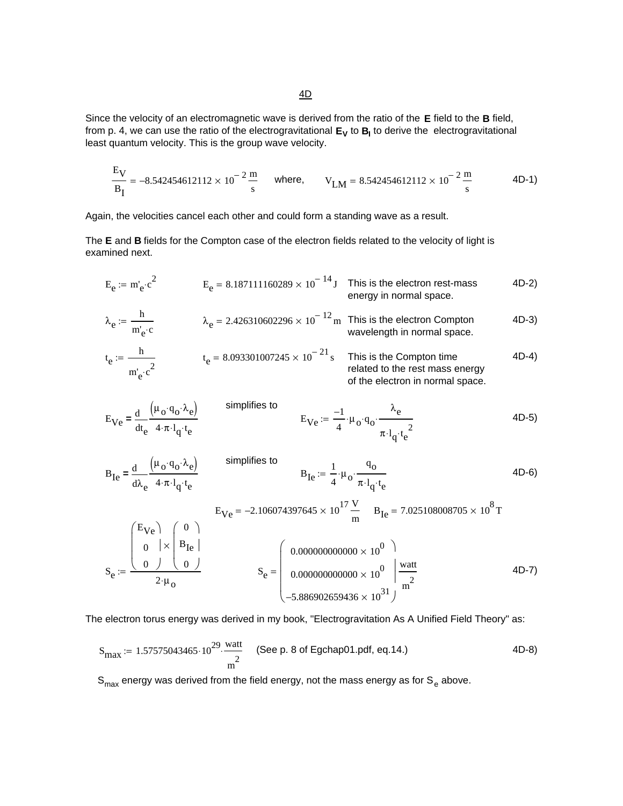Since the velocity of an electromagnetic wave is derived from the ratio of the **E** field to the **B** field, from p. 4, we can use the ratio of the electrogravitational  $E_V$  to  $B_I$  to derive the electrogravitational least quantum velocity. This is the group wave velocity.

$$
\frac{E_V}{B_I} = -8.542454612112 \times 10^{-2} \frac{m}{s}
$$
 where,  $V_{LM} = 8.542454612112 \times 10^{-2} \frac{m}{s}$  4D-1)

Again, the velocities cancel each other and could form a standing wave as a result.

The **E** and **B** fields for the Compton case of the electron fields related to the velocity of light is examined next.

$$
E_e := m_e \cdot c^2
$$
  
\n
$$
E_e = 8.187111160289 \times 10^{-14} \text{ J}
$$
 This is the electron rest-mass energy in normal space.  
\n
$$
\lambda_e := \frac{h}{m_e' \cdot c}
$$
  
\n
$$
t_e := \frac{h}{m_e' \cdot c^2}
$$
  
\n
$$
t_e = 8.093301007245 \times 10^{-21} \text{ s}
$$
 This is the Compton time related to the rest mass energy of the electron in normal space.  
\n
$$
t_e = \frac{h}{m_e' \cdot c^2}
$$
  
\n
$$
t_e = 8.093301007245 \times 10^{-21} \text{ s}
$$
 This is the Compton time related to the rest mass energy of the electron in normal space.

$$
E_{Ve} = \frac{d}{dt_e} \frac{(\mu_o \cdot q_o \cdot \lambda_e)}{4 \cdot \pi \cdot l_q \cdot t_e}
$$
 simplyifies to  
\n
$$
E_{Ve} := \frac{-1}{4} \cdot \mu_o \cdot q_o \cdot \frac{\lambda_e}{\pi \cdot l_q \cdot t_e^2}
$$
 (4D-5)

simplifies to BIe <sup>λ</sup><sup>e</sup> µo qo ⋅ λe ( ) ⋅ 4⋅π l q⋅ t e ⋅ d d **=** BIe 1 <sup>4</sup> <sup>µ</sup><sup>o</sup> <sup>⋅</sup> qo π l q t <sup>e</sup> <sup>⋅</sup> <sup>⋅</sup> := <sup>⋅</sup> 4D-6) EVe <sup>−</sup>2.106074397645 <sup>10</sup><sup>17</sup> × V <sup>m</sup> <sup>=</sup> BIe 7.025108008705 108 <sup>=</sup> <sup>×</sup> <sup>T</sup> Se EVe 0 0 ⎛ ⎜ ⎜ ⎜ ⎝ ⎞ ⎟ ⎠ 0 BIe 0 ⎛ ⎜ ⎜ ⎜ ⎝ ⎞ ⎟ ⎠ × <sup>2</sup> <sup>µ</sup><sup>o</sup> <sup>⋅</sup> := Se 0.000000000000 100 × 0.000000000000 100 × <sup>−</sup>5.886902659436 <sup>10</sup><sup>31</sup> × ⎛ ⎜ ⎜ ⎜ ⎜ ⎝ ⎞ ⎟ ⎟ ⎠ watt m2 <sup>=</sup> 4D-7)

The electron torus energy was derived in my book, "Electrogravitation As A Unified Field Theory" as:

$$
S_{\text{max}} := 1.57575043465 \cdot 10^{29} \cdot \frac{\text{watt}}{m^2}
$$
 (See p. 8 of Egchap01.pdf, eq.14.) (4D-8)

 $S_{\text{max}}$  energy was derived from the field energy, not the mass energy as for  $S_{e}$  above.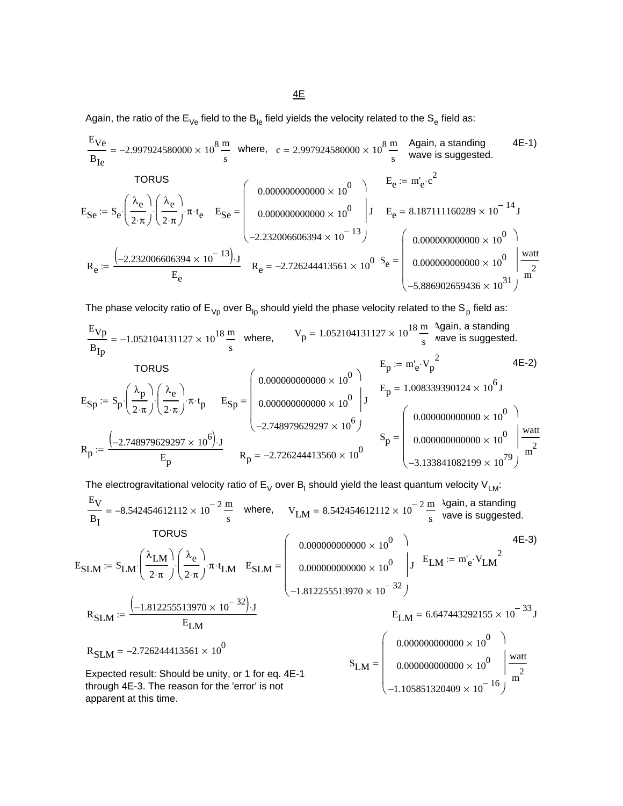Again, the ratio of the  $E_{Ve}$  field to the  $B_{le}$  field yields the velocity related to the  $S_e$  field as:

Again, a standing wave is suggested. 4E-1) EVe BIe <sup>−</sup>2.997924580000 <sup>10</sup><sup>8</sup> <sup>×</sup> <sup>m</sup> <sup>s</sup> <sup>=</sup> where, c 2.997924580000 10<sup>8</sup> <sup>×</sup> <sup>m</sup> <sup>s</sup> <sup>=</sup> TORUS Ee m'e <sup>c</sup> 2 := ⋅ ESe Se λe 2⋅π ⎛ ⎜ ⎝ ⎞ <sup>⎠</sup> <sup>⋅</sup> λe 2⋅π ⎛ ⎜ ⎝ ⎞ <sup>⎠</sup> ⋅ π⋅ <sup>t</sup> e := ⋅ ESe 0.000000000000 10<sup>0</sup> × 0.000000000000 10<sup>0</sup> × <sup>−</sup>2.232006606394 <sup>10</sup><sup>−</sup> <sup>13</sup> × ⎛ ⎜ ⎜ ⎜ ⎜ ⎝ ⎞ ⎟ ⎟ ⎠ <sup>=</sup> <sup>J</sup> Ee 8.187111160289 10<sup>−</sup> <sup>14</sup> <sup>=</sup> <sup>×</sup> <sup>J</sup> Se 0.000000000000 100 × 0.000000000000 100 × <sup>−</sup>5.886902659436 <sup>10</sup><sup>31</sup> × ⎛ ⎜ ⎜ ⎜ ⎜ ⎝ ⎞ ⎟ ⎟ ⎠ watt m2 <sup>=</sup> Re <sup>−</sup>2.232006606394 <sup>10</sup><sup>−</sup> <sup>13</sup> ( ) <sup>×</sup> <sup>⋅</sup><sup>J</sup> Ee := Re <sup>−</sup>2.726244413561 <sup>10</sup><sup>0</sup> <sup>=</sup> <sup>×</sup>

The phase velocity ratio of  $E_{Vp}$  over  $B_{lp}$  should yield the phase velocity related to the S<sub>p</sub> field as:

TORUS Ep 1.008339390124 106 <sup>=</sup> <sup>×</sup> <sup>J</sup> ESp Sp λp 2⋅π ⎛ ⎜ ⎝ ⎞ <sup>⎠</sup> <sup>⋅</sup> λe 2⋅π ⎛ ⎜ ⎝ ⎞ <sup>⎠</sup> ⋅ π⋅ <sup>t</sup> p := ⋅ ESp 0.000000000000 100 × 0.000000000000 100 × <sup>−</sup>2.748979629297 106 × ⎛ ⎜ ⎜ ⎜ ⎜ ⎝ ⎞ ⎟ ⎟ ⎠ = J Sp 0.000000000000 10<sup>0</sup> × 0.000000000000 10<sup>0</sup> × <sup>−</sup>3.133841082199 1079 × ⎛ ⎜ ⎜ ⎜ ⎜ ⎝ ⎞ ⎟ ⎟ ⎠ watt m2 <sup>=</sup> Rp <sup>−</sup>2.748979629297 106 ( ) <sup>×</sup> <sup>⋅</sup><sup>J</sup> Ep := Rp <sup>−</sup>2.726244413560 100 <sup>=</sup> <sup>×</sup> Again, a standing wave is suggested. Vp 1.052104131127 10<sup>18</sup> <sup>×</sup> <sup>m</sup> <sup>s</sup> <sup>=</sup> EVp BIp <sup>−</sup>1.052104131127 1018 <sup>×</sup> <sup>m</sup> <sup>s</sup> <sup>=</sup> where, Ep m'e Vp 2 := ⋅ 4E-2)

The electrogravitational velocity ratio of E<sub>V</sub> over B<sub>I</sub> should yield the least quantum velocity V<sub>LM</sub>:  
\n
$$
\frac{E_V}{B_I} = -8.542454612112 \times 10^{-2} \frac{m}{s} \text{ where, } V_{LM} = 8.542454612112 \times 10^{-2} \frac{m}{s} \text{ Again, a standing wave is suggested.}
$$
\n
$$
\text{TORUS}
$$
\n
$$
E_{SLM} := S_{LM} \left( \frac{\lambda_{LM}}{2 \cdot \pi} \right) \left( \frac{\lambda_e}{2 \cdot \pi} \right) \pi \cdot t_{LM} \quad E_{SLM} = \left( \begin{array}{c} 0.000000000000 \times 10^{0} \\ 0.0000000000000 \times 10^{0} \\ -1.812255513970 \times 10^{-32} \end{array} \right) \cdot J \quad E_{LM} = m_e \cdot V_{LM}^2
$$
\n
$$
R_{SLM} := \frac{(-1.812255513970 \times 10^{-32}) \cdot J}{E_{LM}} \quad E_{LM}
$$
\n
$$
R_{SLM} = -2.726244413561 \times 10^{0}
$$
\n
$$
E_{LM} = \left( \begin{array}{c} 0.000000000000 \times 10^{0} \\ 0.000000000000 \times 10^{0} \\ 0.000000000000 \times 10^{0} \\ -1.105851320409 \times 10^{-16} \end{array} \right) \frac{\text{watt}}{\text{m}^{2}}
$$
\nthrough 4E-3. The reason for the 'error' is not apparent at this time.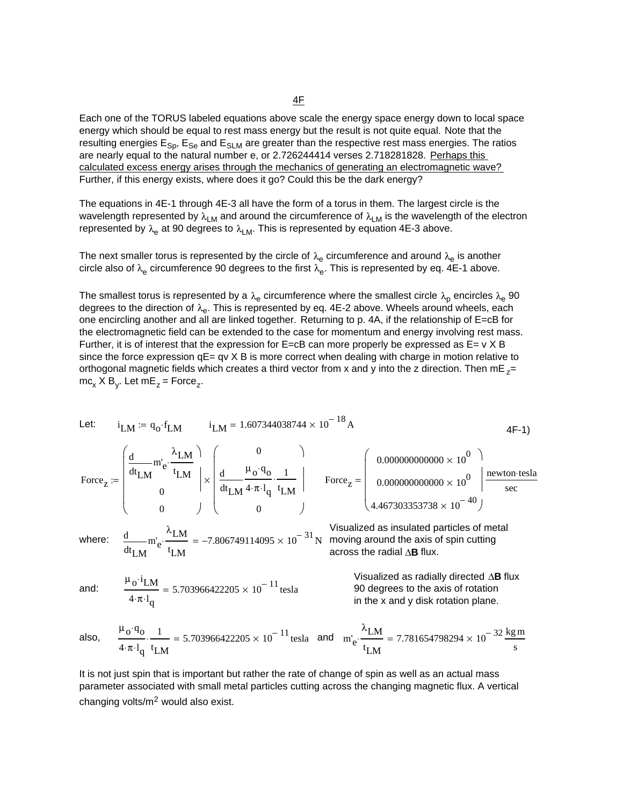4F

Each one of the TORUS labeled equations above scale the energy space energy down to local space energy which should be equal to rest mass energy but the result is not quite equal. Note that the resulting energies  $E_{Sp}$ ,  $E_{Se}$  and  $E_{SLM}$  are greater than the respective rest mass energies. The ratios are nearly equal to the natural number e, or 2.726244414 verses 2.718281828. Perhaps this calculated excess energy arises through the mechanics of generating an electromagnetic wave? Further, if this energy exists, where does it go? Could this be the dark energy?

The equations in 4E-1 through 4E-3 all have the form of a torus in them. The largest circle is the wavelength represented by  $\lambda_{LM}$  and around the circumference of  $\lambda_{LM}$  is the wavelength of the electron represented by  $\lambda_e$  at 90 degrees to  $\lambda_{LM}$ . This is represented by equation 4E-3 above.

The next smaller torus is represented by the circle of  $\lambda_{e}$  circumference and around  $\lambda_{e}$  is another circle also of  $\lambda_e$  circumference 90 degrees to the first  $\lambda_e$ . This is represented by eq. 4E-1 above.

The smallest torus is represented by a  $\lambda_e$  circumference where the smallest circle  $\lambda_p$  encircles  $\lambda_e$  90 degrees to the direction of  $\lambda_{e}$ . This is represented by eq. 4E-2 above. Wheels around wheels, each one encircling another and all are linked together. Returning to p. 4A, if the relationship of E=cB for the electromagnetic field can be extended to the case for momentum and energy involving rest mass. Further, it is of interest that the expression for  $E = cB$  can more properly be expressed as  $E = v \times B$ since the force expression  $qE= qv \times B$  is more correct when dealing with charge in motion relative to orthogonal magnetic fields which creates a third vector from x and y into the z direction. Then mE  $z=$  $mc_x$  X B<sub>y</sub>. Let mE<sub>z</sub> = Force<sub>z</sub>.

µo i⋅ LM 4⋅π l <sup>q</sup><sup>⋅</sup> 5.703966422205 10<sup>−</sup> <sup>11</sup> and: <sup>=</sup> <sup>×</sup> tesla Visualized as radially directed ∆**B** flux 90 degrees to the axis of rotation in the x and y disk rotation plane. t LM m'e λLM t LM <sup>⋅</sup> <sup>d</sup> <sup>d</sup> <sup>−</sup>7.806749114095 <sup>10</sup><sup>−</sup> <sup>31</sup> where: <sup>=</sup> <sup>×</sup> <sup>N</sup> Visualized as insulated particles of metal moving around the axis of spin cutting across the radial ∆**B** flux. Forcez 0.000000000000 10<sup>0</sup> × 0.000000000000 10<sup>0</sup> × 4.467303353738 10<sup>−</sup> <sup>40</sup> × ⎛ ⎜ ⎜ ⎜ ⎜ ⎝ ⎞ ⎟ ⎟ ⎠ newton tesla ⋅ sec Force = z t LM m'e λLM t LM <sup>⋅</sup> <sup>d</sup> d 0 0 ⎛ ⎜ ⎜ ⎜ ⎜ ⎝ ⎞ ⎟ ⎟ ⎠ 0 t LM µo qo ⋅ 4⋅π l q⋅ 1 t LM <sup>⋅</sup> <sup>d</sup> d 0 ⎛ ⎜ ⎜ ⎜ ⎜ ⎝ ⎞ ⎟ ⎟ ⎠ := × 4F-1) <sup>i</sup> LM 1.607344038744 10<sup>−</sup> <sup>18</sup> <sup>i</sup> <sup>=</sup> <sup>×</sup> <sup>A</sup> LM qo <sup>f</sup> := <sup>⋅</sup> LM Let:

also, 
$$
\frac{\mu_0 \cdot q_0}{4 \cdot \pi \cdot l_q} \cdot \frac{1}{t_{LM}} = 5.703966422205 \times 10^{-11} \text{ tesla}
$$
 and  $m'_e \cdot \frac{\lambda_{LM}}{t_{LM}} = 7.781654798294 \times 10^{-32} \frac{\text{kg m}}{\text{s}}$ 

It is not just spin that is important but rather the rate of change of spin as well as an actual mass parameter associated with small metal particles cutting across the changing magnetic flux. A vertical changing volts/m2 would also exist.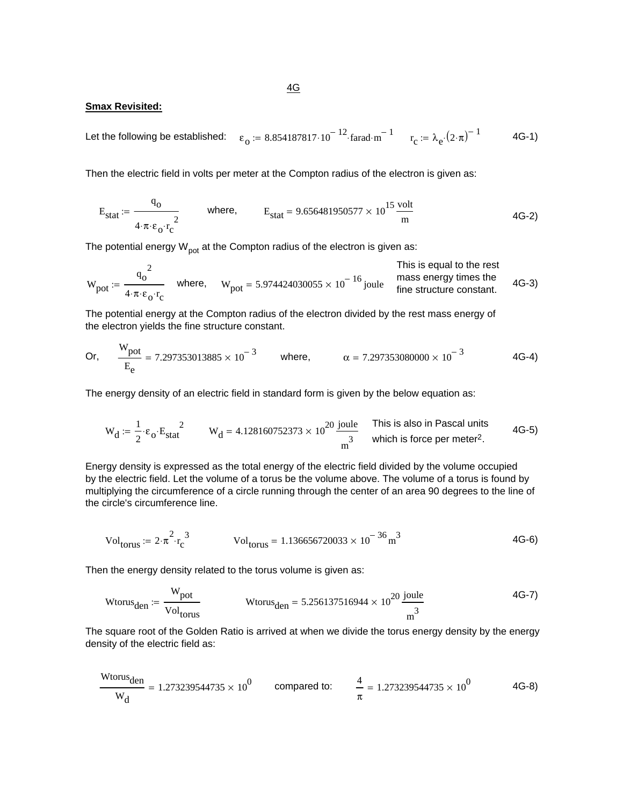#### **Smax Revisited:**

Let the following be established: 
$$
\varepsilon_0 := 8.854187817 \cdot 10^{-12} \cdot \text{farad} \cdot \text{m}^{-1}
$$
  $r_c := \lambda_e \cdot (2 \cdot \pi)^{-1}$  4G-1)

Then the electric field in volts per meter at the Compton radius of the electron is given as:

$$
E_{\text{stat}} := \frac{q_0}{4 \cdot \pi \cdot \varepsilon_0 \cdot r_c^2}
$$
 where,  $E_{\text{stat}} = 9.656481950577 \times 10^{15} \frac{\text{volt}}{\text{m}}$  (4G-2)

The potential energy  $W_{pot}$  at the Compton radius of the electron is given as:

$$
W_{pot} := \frac{q_0^2}{4 \cdot \pi \cdot \epsilon_0 \cdot r_c}
$$
 where,  $W_{pot} = 5.974424030055 \times 10^{-16}$  joule mass energy times the  
fine structure constant. 4G-3)

The potential energy at the Compton radius of the electron divided by the rest mass energy of the electron yields the fine structure constant.

Or, 
$$
\frac{W_{pot}}{E_e} = 7.297353013885 \times 10^{-3}
$$
 where,  $\alpha = 7.297353080000 \times 10^{-3}$  4G-4)

The energy density of an electric field in standard form is given by the below equation as:

$$
W_d := \frac{1}{2} \cdot \varepsilon_0 \cdot E_{stat}^2
$$
\n
$$
W_d = 4.128160752373 \times 10^{20} \frac{\text{joule}}{\text{m}^3}
$$
\nThis is also in Pascal units which is force per meter<sup>2</sup>.

Energy density is expressed as the total energy of the electric field divided by the volume occupied by the electric field. Let the volume of a torus be the volume above. The volume of a torus is found by multiplying the circumference of a circle running through the center of an area 90 degrees to the line of the circle's circumference line.

$$
Vol_{torus} := 2 \cdot \pi^2 \cdot r_c^3
$$
 
$$
Vol_{torus} = 1.136656720033 \times 10^{-36} \text{ m}^3
$$
 4G-6)

Then the energy density related to the torus volume is given as:

$$
\text{Wtorus}_{den} := \frac{W_{pot}}{\text{Vol}_{torus}} \qquad \qquad \text{Wtorus}_{den} = 5.256137516944 \times 10^{20} \frac{\text{joule}}{\text{m}^3} \qquad \qquad \text{4G-7}
$$

The square root of the Golden Ratio is arrived at when we divide the torus energy density by the energy density of the electric field as:

$$
\frac{\text{Wtorus}_{den}}{W_d} = 1.273239544735 \times 10^0 \qquad \text{compared to:} \qquad \frac{4}{\pi} = 1.273239544735 \times 10^0 \qquad \text{4G-8}
$$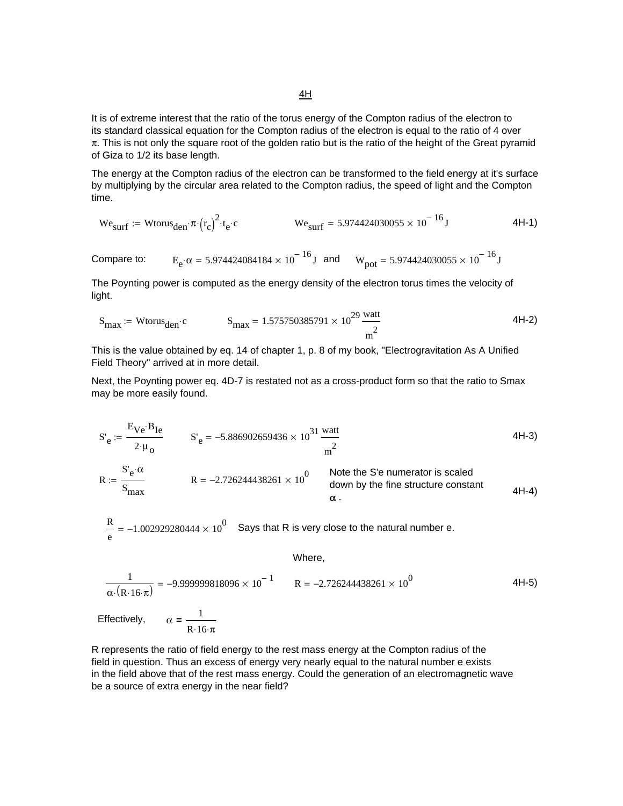It is of extreme interest that the ratio of the torus energy of the Compton radius of the electron to its standard classical equation for the Compton radius of the electron is equal to the ratio of 4 over  $\pi$ . This is not only the square root of the golden ratio but is the ratio of the height of the Great pyramid of Giza to 1/2 its base length.

The energy at the Compton radius of the electron can be transformed to the field energy at it's surface by multiplying by the circular area related to the Compton radius, the speed of light and the Compton time.

$$
We_{\text{surf}} := W \text{torus}_{\text{den}} \cdot \pi \cdot (r_c)^2 \cdot t_e \cdot c \qquad \qquad We_{\text{surf}} = 5.974424030055 \times 10^{-16} \text{J} \tag{4H-1}
$$

Compare to:  $E_e \cdot \alpha = 5.974424084184 \times 10^{-16} J$  and  $W_{pot} = 5.974424030055 \times 10^{-16} J$ 

The Poynting power is computed as the energy density of the electron torus times the velocity of light.

$$
S_{\text{max}} := \text{Wtorus}_{\text{den}} \cdot c \qquad S_{\text{max}} = 1.575750385791 \times 10^{29} \frac{\text{watt}}{\text{m}^2} \tag{4H-2}
$$

This is the value obtained by eq. 14 of chapter 1, p. 8 of my book, "Electrogravitation As A Unified Field Theory" arrived at in more detail.

Next, the Poynting power eq. 4D-7 is restated not as a cross-product form so that the ratio to Smax may be more easily found.

$$
S'_{e} := \frac{E_{Ve} \cdot B_{Ie}}{2 \cdot \mu_{o}} \qquad S'_{e} = -5.886902659436 \times 10^{31} \frac{\text{watt}}{\text{m}^{2}}
$$

$$
R := \frac{S'_{e} \cdot \alpha}{S_{\text{max}}}
$$
 
$$
R = -2.726244438261 \times 10^{0}
$$
 Note the S'e numerator is scaled  
down by the fine structure constant  

$$
\alpha
$$
.

 $\frac{\text{R}}{\text{e}}$  = –1.002929280444  $\times$  10 $^0$  Says that R is very close to the natural number e.

 $R.16·\pi$ 

Where,

$$
\frac{1}{\alpha \cdot (R \cdot 16 \cdot \pi)} = -9.999999818096 \times 10^{-1} \qquad R = -2.726244438261 \times 10^{0}
$$
4H-5)  
Effectively,  $\alpha = \frac{1}{\alpha \cdot (R \cdot 16 \cdot \pi)}$ 

R represents the ratio of field energy to the rest mass energy at the Compton radius of the field in question. Thus an excess of energy very nearly equal to the natural number e exists in the field above that of the rest mass energy. Could the generation of an electromagnetic wave be a source of extra energy in the near field?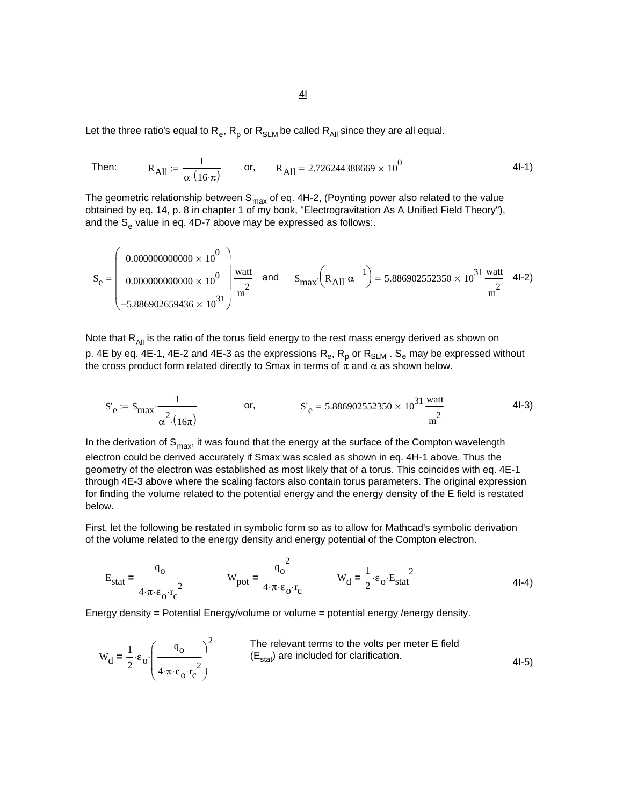Let the three ratio's equal to  $R_e$ ,  $R_p$  or  $R_{SLM}$  be called  $R_{All}$  since they are all equal.

Then: 
$$
R_{\text{All}} = \frac{1}{\alpha \cdot (16 \cdot \pi)}
$$
 or,  $R_{\text{All}} = 2.726244388669 \times 10^0$  4I-1)

The geometric relationship between  $S_{max}$  of eq. 4H-2, (Poynting power also related to the value obtained by eq. 14, p. 8 in chapter 1 of my book, "Electrogravitation As A Unified Field Theory"), and the  $S_e$  value in eq. 4D-7 above may be expressed as follows:.

<sup>S</sup> 4I-2) max RAll <sup>α</sup><sup>−</sup> <sup>1</sup> <sup>⋅</sup> <sup>⎛</sup> <sup>⎝</sup> <sup>⎞</sup> <sup>⎠</sup> <sup>⋅</sup> 5.886902552350 10<sup>31</sup> × watt m2 <sup>S</sup> and <sup>=</sup> <sup>e</sup> 0.000000000000 100 × 0.000000000000 100 × <sup>−</sup>5.886902659436 <sup>10</sup><sup>31</sup> × ⎛ ⎜ ⎜ ⎜ ⎜ ⎝ ⎞ ⎟ ⎟ ⎠ watt m2 <sup>=</sup>

Note that  $R_{All}$  is the ratio of the torus field energy to the rest mass energy derived as shown on p. 4E by eq. 4E-1, 4E-2 and 4E-3 as the expressions  $R_e$ ,  $R_p$  or  $R_{SLM}$  .  $S_e$  may be expressed without the cross product form related directly to Smax in terms of  $\pi$  and  $\alpha$  as shown below.

$$
S'_{e} := S_{\text{max}} \cdot \frac{1}{\alpha^{2} \cdot (16\pi)} \qquad \text{or,} \qquad S'_{e} = 5.886902552350 \times 10^{31} \frac{\text{watt}}{\text{m}^{2}}
$$

In the derivation of  $S_{\text{max}}$ , it was found that the energy at the surface of the Compton wavelength electron could be derived accurately if Smax was scaled as shown in eq. 4H-1 above. Thus the geometry of the electron was established as most likely that of a torus. This coincides with eq. 4E-1 through 4E-3 above where the scaling factors also contain torus parameters. The original expression for finding the volume related to the potential energy and the energy density of the E field is restated below.

First, let the following be restated in symbolic form so as to allow for Mathcad's symbolic derivation of the volume related to the energy density and energy potential of the Compton electron.

$$
E_{\text{stat}} = \frac{q_0}{4 \cdot \pi \cdot \varepsilon_0 \cdot r_c^2}
$$
 W<sub>pot</sub> =  $\frac{q_0^2}{4 \cdot \pi \cdot \varepsilon_0 \cdot r_c}$  W<sub>d</sub> =  $\frac{1}{2} \cdot \varepsilon_0 \cdot E_{\text{stat}}^2$  4I-4)

Energy density = Potential Energy/volume or volume = potential energy /energy density.

$$
W_d = \frac{1}{2} \cdot \epsilon_o \cdot \left(\frac{q_o}{4 \cdot \pi \cdot \epsilon_o \cdot r_c^2}\right)^2
$$
 The relevant terms to the volts per meter E field  
(E<sub>stat</sub>) are included for clarification. 4I-5)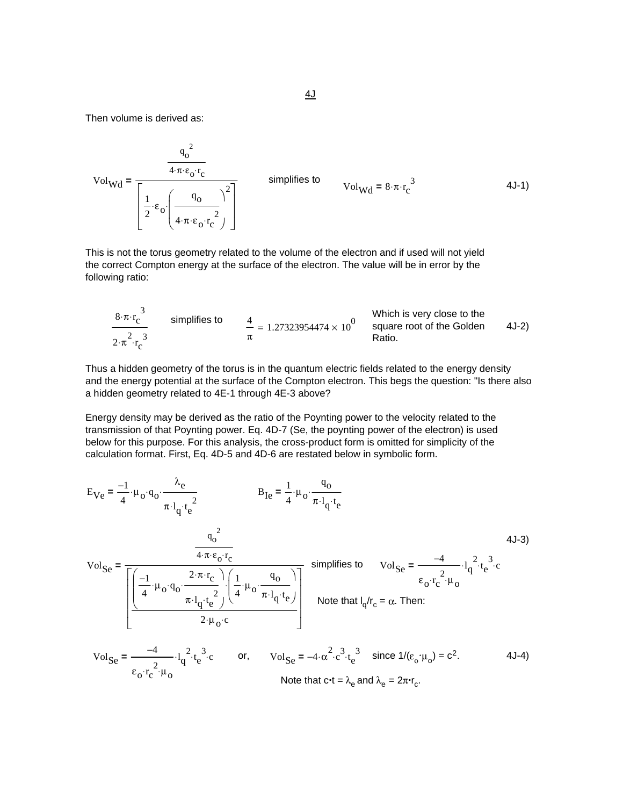Then volume is derived as:

 $\varepsilon_{\rm o}$ · $r_{\rm c}$ 

$$
Vol_{Wd} = \frac{\frac{q_o^2}{4 \cdot \pi \cdot \epsilon_o \cdot r_c}}{\left[\frac{1}{2} \cdot \epsilon_o \cdot \left(\frac{q_o}{4 \cdot \pi \cdot \epsilon_o \cdot r_c^2}\right)\right]}
$$
 simplifies to  $Vol_{Wd} = 8 \cdot \pi \cdot r_c^3$  4J-1)

This is not the torus geometry related to the volume of the electron and if used will not yield the correct Compton energy at the surface of the electron. The value will be in error by the following ratio:

$$
\frac{8 \cdot \pi \cdot r_c^3}{2 \cdot \pi^2 \cdot r_c^3}
$$
 simplifies to 
$$
\frac{4}{\pi} = 1.27323954474 \times 10^0
$$
 Which is very close to the square root of the Golden  
Ratio.

Thus a hidden geometry of the torus is in the quantum electric fields related to the energy density and the energy potential at the surface of the Compton electron. This begs the question: "Is there also a hidden geometry related to 4E-1 through 4E-3 above?

Energy density may be derived as the ratio of the Poynting power to the velocity related to the transmission of that Poynting power. Eq. 4D-7 (Se, the poynting power of the electron) is used below for this purpose. For this analysis, the cross-product form is omitted for simplicity of the calculation format. First, Eq. 4D-5 and 4D-6 are restated below in symbolic form.

$$
E_{Ve} = \frac{-1}{4} \cdot \mu_{o} \cdot q_{o} \cdot \frac{\lambda_{e}}{\pi \cdot l_{q} \cdot t_{e}^{2}}
$$
\n
$$
V_{o} = \frac{q_{o}^{2}}{\pi \cdot l_{q} \cdot t_{e}^{2}}
$$
\n
$$
V_{o} = \frac{q_{o}^{2}}{\pi \cdot l_{q} \cdot t_{e}^{2}} \cdot \frac{q_{o}^{2}}{\pi \cdot l_{q} \cdot t_{e}^{2}}
$$
\n
$$
V_{o} = \frac{q_{o}^{2}}{\pi \cdot l_{q} \cdot t_{e}^{2}} \cdot \frac{q_{o}^{2}}{\pi \cdot l_{q} \cdot t_{e}^{2}}
$$
\n
$$
V_{o} = \frac{-4}{\pi \cdot l_{q} \cdot l_{q}^{2} \cdot t_{e}^{3}} \cdot \frac{q_{o}^{2}}{\pi \cdot l_{q} \cdot t_{e}^{2}}
$$
\n
$$
V_{o} = \frac{-4}{\pi \cdot l_{q} \cdot l_{q}^{2} \cdot t_{e}^{3}} \cdot \frac{q_{o}^{2}}{\pi \cdot l_{q} \cdot t_{e}^{2}}
$$
\n
$$
V_{o} = \frac{-4}{\pi \cdot l_{q} \cdot l_{q}^{2} \cdot t_{e}^{3}} \cdot \frac{q_{o}^{2}}{\pi \cdot l_{q} \cdot t_{e}^{2}}
$$
\n
$$
V_{o} = \frac{-4}{\pi \cdot l_{q} \cdot l_{q}^{2} \cdot t_{e}^{3}} \cdot \frac{q_{o}^{2}}{\pi \cdot l_{q} \cdot t_{e}^{3}} \cdot \frac{q_{o}^{2}}{\pi \cdot l_{q} \cdot t_{e}^{2}}
$$
\n
$$
V_{o} = \frac{-4}{\pi \cdot l_{q} \cdot l_{q}^{2} \cdot t_{e}^{3}} \cdot \frac{q_{o}^{2}}{\pi \cdot l_{q} \cdot t_{e}^{3}} \cdot \frac{q_{o}^{2}}{\pi \cdot l_{q} \cdot t_{e}^{2}}
$$
\n
$$
V_{o} = \frac{-4}{\pi \cdot l_{q} \cdot l_{q} \cdot l_{e}^{2}} \cdot \frac{q_{o}^{2}}{\pi \cdot l_{q} \cdot t_{e}^{3}} \cdot \frac{q_{o}^{2}}{\pi \cdot l_{q} \cdot t_{e}^{2
$$

Note that 
$$
c \cdot t = \lambda_e
$$
 and  $\lambda_e = 2\pi \cdot r_c$ .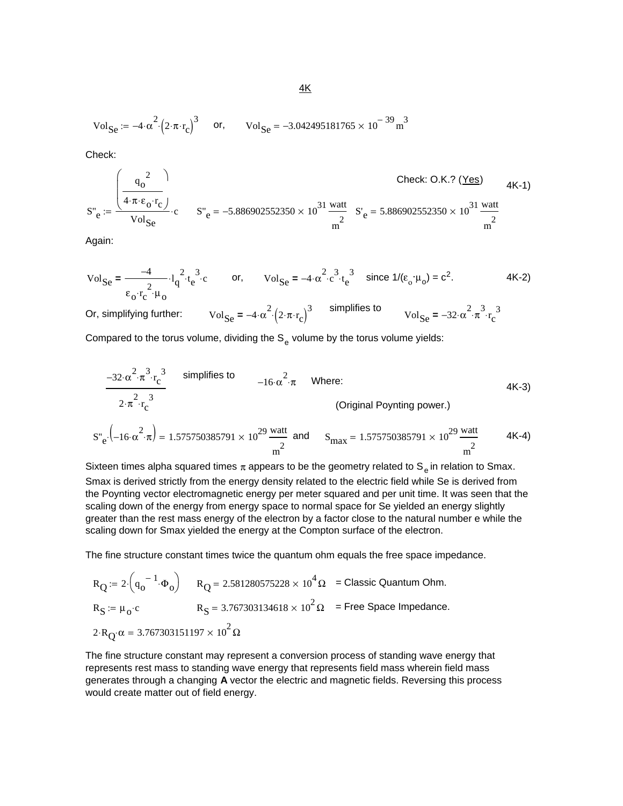$$
\text{Vol}_{\text{Se}} := -4 \cdot \alpha^2 \cdot \left(2 \cdot \pi \cdot r_c\right)^3 \quad \text{or,} \quad \text{Vol}_{\text{Se}} = -3.042495181765 \times 10^{-39} \text{ m}^3
$$

Check:

$$
S''_{e} := \frac{\left(\frac{q_{o}^{2}}{4 \cdot \pi \cdot \varepsilon_{o} \cdot r_{c}}\right)}{Vol_{Se} \cdot c} \cdot S''_{e} = -5.886902552350 \times 10^{31} \frac{\text{watt}}{m^{2}} \cdot S'_{e} = 5.886902552350 \times 10^{31} \frac{\text{watt}}{m^{2}}
$$

Again:

VolSe −4 εo r c 2 µo ⋅ ⋅ l q <sup>2</sup> <sup>⋅</sup> <sup>t</sup> e <sup>3</sup> **<sup>=</sup>** <sup>⋅</sup> <sup>⋅</sup><sup>c</sup> or, VolSe − α <sup>4</sup> <sup>2</sup> <sup>⋅</sup> <sup>c</sup> <sup>3</sup> <sup>⋅</sup> <sup>t</sup> e <sup>3</sup> **<sup>=</sup>** <sup>⋅</sup> since 1/(εο . <sup>µ</sup>o) = c2. 4K-2)

Or, simplifying further:  $\text{Vol}_{\text{Se}} = -4 \cdot \alpha^2 \cdot (2 \cdot \pi \cdot r_c)^3$  simplifies to  $\text{Vol}_{\text{Se}} = -32 \cdot \alpha^2 \cdot \pi^3 \cdot r_c^3$ 

Compared to the torus volume, dividing the  $S_e$  volume by the torus volume yields:

$$
\frac{-32 \cdot \alpha^{2} \cdot \pi^{3} \cdot r_{c}^{3}}{2 \cdot \pi^{2} \cdot r_{c}^{2}}
$$
 simplifies to  
\n
$$
2 \cdot \pi^{2} \cdot r_{c}^{3}
$$
 (Original Poynting power.)  
\n
$$
S''_{e} \cdot (-16 \cdot \alpha^{2} \cdot \pi) = 1.575750385791 \times 10^{29} \frac{\text{watt}}{\text{m}^{2}}
$$
 and 
$$
S_{\text{max}} = 1.575750385791 \times 10^{29} \frac{\text{watt}}{\text{m}^{2}}
$$
 4K-4)

Sixteen times alpha squared times  $\pi$  appears to be the geometry related to S<sub>e</sub> in relation to Smax. Smax is derived strictly from the energy density related to the electric field while Se is derived from the Poynting vector electromagnetic energy per meter squared and per unit time. It was seen that the scaling down of the energy from energy space to normal space for Se yielded an energy slightly greater than the rest mass energy of the electron by a factor close to the natural number e while the scaling down for Smax yielded the energy at the Compton surface of the electron.

The fine structure constant times twice the quantum ohm equals the free space impedance.

RQ 2 qo <sup>−</sup> <sup>1</sup> <sup>Φ</sup><sup>o</sup> <sup>⋅</sup> <sup>⎛</sup> <sup>⎝</sup> <sup>⎞</sup> <sup>⎠</sup> := <sup>⋅</sup> RQ 2.581280575228 10<sup>4</sup> <sup>=</sup> × Ω = Classic Quantum Ohm. RS <sup>µ</sup><sup>o</sup> := <sup>⋅</sup><sup>c</sup> RS 3.767303134618 10<sup>2</sup> <sup>=</sup> × Ω = Free Space Impedance. 2 RQ ⋅ α⋅ 3.767303151197 10<sup>2</sup> <sup>=</sup> × Ω

The fine structure constant may represent a conversion process of standing wave energy that represents rest mass to standing wave energy that represents field mass wherein field mass generates through a changing **A** vector the electric and magnetic fields. Reversing this process would create matter out of field energy.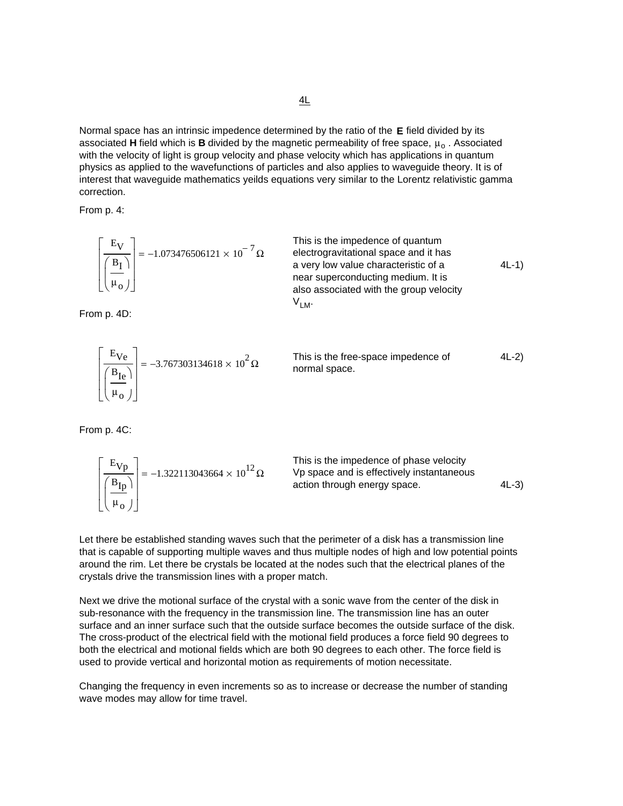Normal space has an intrinsic impedence determined by the ratio of the **E** field divided by its associated **H** field which is **B** divided by the magnetic permeability of free space,  $\mu_0$ . Associated with the velocity of light is group velocity and phase velocity which has applications in quantum physics as applied to the wavefunctions of particles and also applies to waveguide theory. It is of interest that waveguide mathematics yeilds equations very similar to the Lorentz relativistic gamma correction.

From p. 4:

$$
\frac{\begin{bmatrix} E_V \\ \hline B_I \\ \hline \mu_O \end{bmatrix}} = -1.073476506121 \times 10^{-7} \Omega
$$
\nThis is the impedance of quantum  
\nelectrogravitational space and it has  
\na very low value characteristic of a  
\nnear superconducting medium. It is  
\nalso associated with the group velocity  
\n
$$
V_{LM}
$$

From p. 4D:

$$
\left[\frac{E_{Ve}}{\left(\frac{B_{Ie}}{\mu_o}\right)}\right] = -3.767303134618 \times 10^2 \,\Omega
$$
 This is the free-space impedance of normal space. 4L-2)

From p. 4C:

$$
\frac{\begin{bmatrix} E_{Vp} \\ E_{\frac{1}{2}} \end{bmatrix}}{\begin{bmatrix} B_{Ip} \\ \mu_o \end{bmatrix}} = -1.322113043664 \times 10^{12} \Omega
$$
\nThis is the impedance of phase velocity  
\nVp space and is effectively instantaneous  
\naction through energy space. 4L-3)

Let there be established standing waves such that the perimeter of a disk has a transmission line that is capable of supporting multiple waves and thus multiple nodes of high and low potential points around the rim. Let there be crystals be located at the nodes such that the electrical planes of the crystals drive the transmission lines with a proper match.

Next we drive the motional surface of the crystal with a sonic wave from the center of the disk in sub-resonance with the frequency in the transmission line. The transmission line has an outer surface and an inner surface such that the outside surface becomes the outside surface of the disk. The cross-product of the electrical field with the motional field produces a force field 90 degrees to both the electrical and motional fields which are both 90 degrees to each other. The force field is used to provide vertical and horizontal motion as requirements of motion necessitate.

Changing the frequency in even increments so as to increase or decrease the number of standing wave modes may allow for time travel.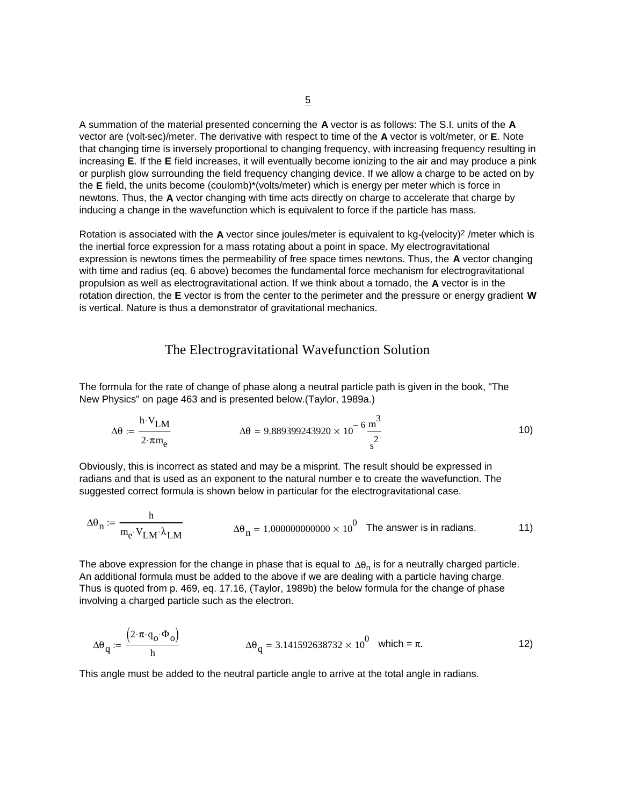A summation of the material presented concerning the **A** vector is as follows: The S.I. units of the **A** vector are (volt**.**sec)/meter. The derivative with respect to time of the **A** vector is volt/meter, or **E**. Note that changing time is inversely proportional to changing frequency, with increasing frequency resulting in increasing **E**. If the **E** field increases, it will eventually become ionizing to the air and may produce a pink or purplish glow surrounding the field frequency changing device. If we allow a charge to be acted on by the **E** field, the units become (coulomb)\*(volts/meter) which is energy per meter which is force in newtons. Thus, the **A** vector changing with time acts directly on charge to accelerate that charge by inducing a change in the wavefunction which is equivalent to force if the particle has mass.

Rotation is associated with the **A** vector since joules/meter is equivalent to kg**.**(velocity)2 /meter which is the inertial force expression for a mass rotating about a point in space. My electrogravitational expression is newtons times the permeability of free space times newtons. Thus, the **A** vector changing with time and radius (eq. 6 above) becomes the fundamental force mechanism for electrogravitational propulsion as well as electrogravitational action. If we think about a tornado, the **A** vector is in the rotation direction, the **E** vector is from the center to the perimeter and the pressure or energy gradient **W** is vertical. Nature is thus a demonstrator of gravitational mechanics.

#### The Electrogravitational Wavefunction Solution

The formula for the rate of change of phase along a neutral particle path is given in the book, "The New Physics" on page 463 and is presented below.(Taylor, 1989a.)

$$
\Delta\theta := \frac{h \cdot V_{LM}}{2 \cdot \pi m_e} \qquad \Delta\theta = 9.889399243920 \times 10^{-6} \frac{m^3}{s^2}
$$

Obviously, this is incorrect as stated and may be a misprint. The result should be expressed in radians and that is used as an exponent to the natural number e to create the wavefunction. The suggested correct formula is shown below in particular for the electrogravitational case.

$$
\Delta\theta_n := \frac{h}{m_e \cdot V_{LM} \cdot \lambda_{LM}}
$$
\n
$$
\Delta\theta_n = 1.0000000000000 \times 10^0
$$
\nThe answer is in radians.

The above expression for the change in phase that is equal to  $\Delta\theta_n$  is for a neutrally charged particle. An additional formula must be added to the above if we are dealing with a particle having charge. Thus is quoted from p. 469, eq. 17.16, (Taylor, 1989b) the below formula for the change of phase involving a charged particle such as the electron.

$$
\Delta\theta_{\mathbf{q}} := \frac{\left(2 \cdot \pi \cdot \mathbf{q}_{\mathbf{0}} \cdot \Phi_{\mathbf{0}}\right)}{\mathbf{h}} \qquad \Delta\theta_{\mathbf{q}} = 3.141592638732 \times 10^{\circ} \text{ which } = \pi.
$$

This angle must be added to the neutral particle angle to arrive at the total angle in radians.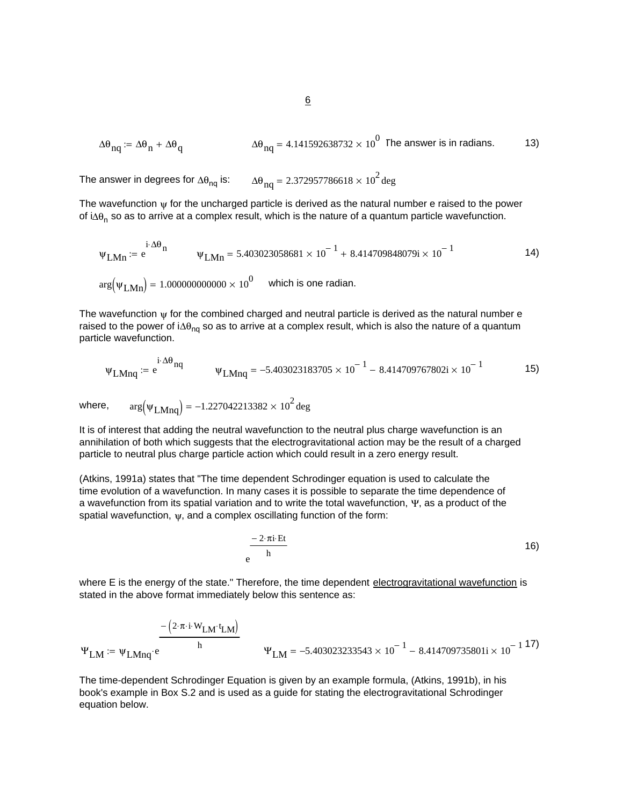$$
\Delta\theta_{nq} \coloneqq \Delta\theta_n + \Delta\theta_q \qquad \Delta\theta_{nq} = 4.141592638732 \times 10^0 \text{ The answer is in radians.}
$$

The answer in degrees for  $\Delta\theta_{\text{nq}}$  is:  $\Delta\theta_{\text{nq}} = 2.372957786618 \times 10^2$  deg

The wavefunction  $\psi$  for the uncharged particle is derived as the natural number e raised to the power of i∆ $θ<sub>n</sub>$  so as to arrive at a complex result, which is the nature of a quantum particle wavefunction.

$$
\Psi_{\text{LMn}} := e^{i \cdot \Delta \theta_{\text{n}}} \qquad \Psi_{\text{LMn}} = 5.403023058681 \times 10^{-1} + 8.414709848079i \times 10^{-1}
$$
\n
$$
\arg(\Psi_{\text{LMn}}) = 1.000000000000 \times 10^{0} \qquad \text{which is one radian.}
$$

The wavefunction  $\psi$  for the combined charged and neutral particle is derived as the natural number e raised to the power of i∆ $\theta_{\text{no}}$  so as to arrive at a complex result, which is also the nature of a quantum particle wavefunction.

$$
\Psi_{LMnq} := e^{i \cdot \Delta \theta_{nq}} \qquad \Psi_{LMnq} = -5.403023183705 \times 10^{-1} - 8.414709767802i \times 10^{-1} \qquad \qquad \text{15}
$$

where,  $arg(\psi_{LMna}) = -1.227042213382 \times 10^2$  deg

It is of interest that adding the neutral wavefunction to the neutral plus charge wavefunction is an annihilation of both which suggests that the electrogravitational action may be the result of a charged particle to neutral plus charge particle action which could result in a zero energy result.

(Atkins, 1991a) states that "The time dependent Schrodinger equation is used to calculate the time evolution of a wavefunction. In many cases it is possible to separate the time dependence of a wavefunction from its spatial variation and to write the total wavefunction, Ψ, as a product of the spatial wavefunction,  $\psi$ , and a complex oscillating function of the form:

$$
e^{\frac{-2 \cdot \pi i \cdot Et}{h}}
$$

where E is the energy of the state." Therefore, the time dependent electrogravitational wavefunction is stated in the above format immediately below this sentence as:

$$
\Psi_{LM} := \Psi_{LMnq} \cdot e^{\frac{-\left(2 \cdot \pi \cdot i \cdot W_{LM} \cdot t_{LM}\right)}{h}} \qquad \Psi_{LM} = -5.403023233543 \times 10^{-1} - 8.414709735801i \times 10^{-1} \, 17}
$$

The time-dependent Schrodinger Equation is given by an example formula, (Atkins, 1991b), in his book's example in Box S.2 and is used as a guide for stating the electrogravitational Schrodinger equation below.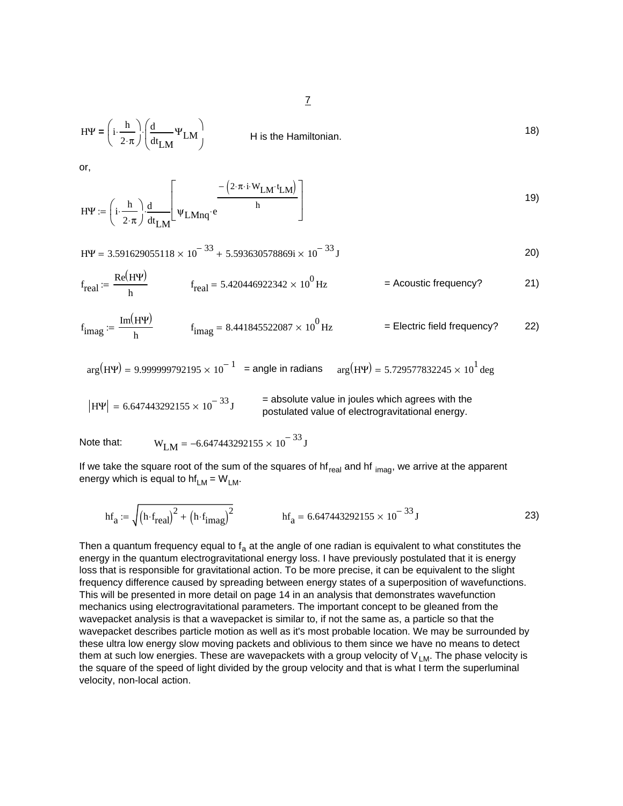$$
H\Psi = \left(i \cdot \frac{h}{2 \cdot \pi}\right) \cdot \left(\frac{d}{dt_{LM}} \Psi_{LM}\right)
$$
 18)

or,

$$
H\Psi := \left(i \cdot \frac{h}{2 \cdot \pi}\right) \cdot \frac{d}{dt_{LM}} \left[\psi_{LMnq} \cdot e^{\frac{-\left(2 \cdot \pi \cdot i \cdot W_{LM} \cdot t_{LM}\right)}{h}}\right]
$$

$$
H\Psi = 3.591629055118 \times 10^{-33} + 5.593630578869i \times 10^{-33} J
$$

$$
f_{\text{real}} := \frac{\text{Re}(H\Psi)}{h} \qquad f_{\text{real}} = 5.420446922342 \times 10^0 \text{ Hz} \qquad \qquad = \text{Acoustic frequency?} \qquad \qquad \text{21}
$$

$$
f_{\text{imag}} := \frac{\text{Im}(H\Psi)}{h} \qquad f_{\text{imag}} = 8.441845522087 \times 10^0 \,\text{Hz} \qquad \qquad = \text{Electric field frequency?} \qquad \qquad \text{22}
$$

 $arg(H\Psi) = 9.999999792195 \times 10^{-1}$  = angle in radians  $arg(H\Psi) = 5.729577832245 \times 10^{1}$  deg

$$
|H\Psi| = 6.647443292155 \times 10^{-33} \text{ J}
$$
 = absolute value in joules which agrees with the postulated value of electrogravitational energy.

Note that:  $W_{I M} = -6.647443292155 \times 10^{-33} J$ 

If we take the square root of the sum of the squares of  $hf_{real}$  and  $hf_{imag}$ , we arrive at the apparent energy which is equal to  $hf_{LM} = W_{LM}$ .

$$
hf_a := \sqrt{(h \cdot f_{real})^2 + (h \cdot f_{imag})^2}
$$
 
$$
hf_a = 6.647443292155 \times 10^{-33} J
$$
 (23)

Then a quantum frequency equal to  $f_a$  at the angle of one radian is equivalent to what constitutes the energy in the quantum electrogravitational energy loss. I have previously postulated that it is energy loss that is responsible for gravitational action. To be more precise, it can be equivalent to the slight frequency difference caused by spreading between energy states of a superposition of wavefunctions. This will be presented in more detail on page 14 in an analysis that demonstrates wavefunction mechanics using electrogravitational parameters. The important concept to be gleaned from the wavepacket analysis is that a wavepacket is similar to, if not the same as, a particle so that the wavepacket describes particle motion as well as it's most probable location. We may be surrounded by these ultra low energy slow moving packets and oblivious to them since we have no means to detect them at such low energies. These are wavepackets with a group velocity of  $V_{LM}$ . The phase velocity is the square of the speed of light divided by the group velocity and that is what I term the superluminal velocity, non-local action.

7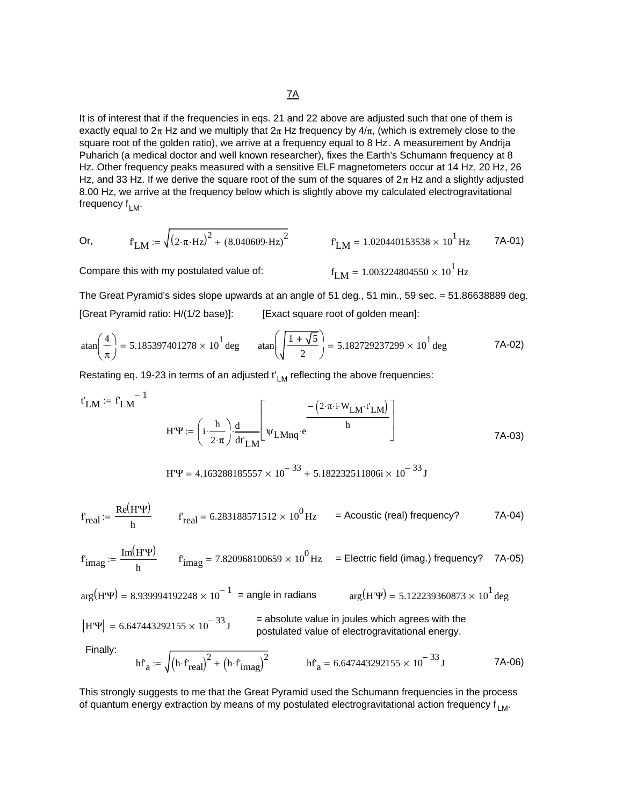It is of interest that if the frequencies in eqs. 21 and 22 above are adjusted such that one of them is exactly equal to  $2\pi$  Hz and we multiply that  $2\pi$  Hz frequency by  $4/\pi$ , (which is extremely close to the square root of the golden ratio), we arrive at a frequency equal to 8 Hz. A measurement by Andrija Puharich (a medical doctor and well known researcher), fixes the Earth's Schumann frequency at 8 Hz. Other frequency peaks measured with a sensitive ELF magnetometers occur at 14 Hz, 20 Hz, 26 Hz, and 33 Hz. If we derive the square root of the sum of the squares of  $2\pi$  Hz and a slightly adjusted 8.00 Hz, we arrive at the frequency below which is slightly above my calculated electrogravitational frequency  $f_{LM}$ .

Or, 
$$
f_{LM} := \sqrt{(2 \cdot \pi \cdot Hz)^2 + (8.040609 \cdot Hz)^2}
$$
  $f_{LM} = 1.020440153538 \times 10^1$  Hz 7A-01)

 $f_{LM} = 1.003224804550 \times 10^{1}$  Hz

Compare this with my postulated value of:

The Great Pyramid's sides slope upwards at an angle of 51 deg., 51 min., 59 sec. = 51.86638889 deg. [Great Pyramid ratio: H/(1/2 base)]: [Exact square root of golden mean]:

$$
\tan\left(\frac{4}{\pi}\right) = 5.185397401278 \times 10^1 \text{ deg} \qquad \tan\left(\sqrt{\frac{1+\sqrt{5}}{2}}\right) = 5.182729237299 \times 10^1 \text{ deg} \qquad 7\text{A-02}
$$

Restating eq. 19-23 in terms of an adjusted  $t'_{LM}$  reflecting the above frequencies:

$$
t'_{LM} := f_{LM}^{-1}
$$
  

$$
H'\Psi := \left(i \cdot \frac{h}{2 \cdot \pi}\right) \frac{d}{dt'_{LM}} \left[\psi_{LMnq} \cdot e^{\frac{-\left(2 \cdot \pi \cdot i \cdot W_{LM} \cdot t'_{LM}\right)}{h}}\right]
$$

$$
H'\Psi = 4.163288185557 \times 10^{-33} + 5.182232511806 \text{ i} \times 10^{-33} \text{ J}
$$

$$
f_{\text{real}} := \frac{\text{Re}(H^{\prime}\Psi)}{h} \qquad f_{\text{real}} = 6.283188571512 \times 10^0 \text{ Hz} \qquad \text{= Acoustic (real) frequency?} \tag{7A-04}
$$

$$
f_{\text{imag}} := \frac{\text{Im}(H^{\prime}\Psi)}{h} \qquad f_{\text{imag}} = 7.820968100659 \times 10^{0} \text{ Hz} \qquad \text{Electric field (imag.) frequency?} \qquad \text{7A-05}
$$

$$
\arg(\text{H}^{\prime}\Psi) = 8.939994192248 \times 10^{-1} = \text{angle in radians} \qquad \arg(\text{H}^{\prime}\Psi) = 5.122239360873 \times 10^{1} \text{ deg}
$$
\n
$$
|\text{H}^{\prime}\Psi| = 6.647443292155 \times 10^{-33} \text{ J} = \text{absolute value in joules which agrees with the postulated value of electrogravitational energy.}
$$
\nFinally:\n
$$
\text{h}^{\prime} = \sqrt{\left(\text{h} \cdot \text{f}^{\prime} \text{real}\right)^{2} + \left(\text{h} \cdot \text{f}^{\prime} \text{imag}\right)^{2}}
$$
\n
$$
\text{h}^{\prime} = 6.647443292155 \times 10^{-33} \text{ J}
$$
\n
$$
\text{H}^{\prime} = 6.647443292155 \times 10^{-33} \text{ J}
$$
\n
$$
\text{H}^{\prime} = 6.647443292155 \times 10^{-33} \text{ J}
$$
\n
$$
\text{H}^{\prime} = 6.647443292155 \times 10^{-33} \text{ J}
$$
\n
$$
\text{H}^{\prime} = 6.647443292155 \times 10^{-33} \text{ J}
$$

This strongly suggests to me that the Great Pyramid used the Schumann frequencies in the process of quantum energy extraction by means of my postulated electrogravitational action frequency  $f_{LM}$ .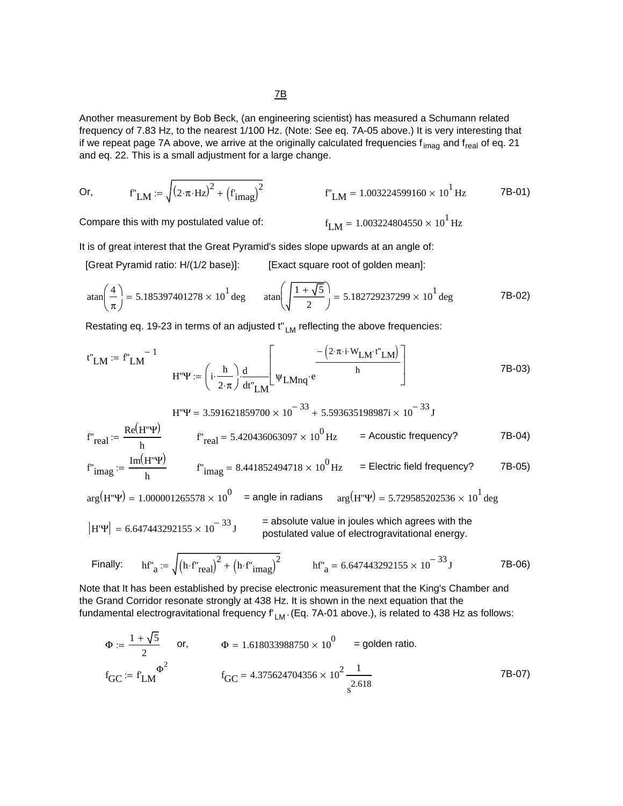Another measurement by Bob Beck, (an engineering scientist) has measured a Schumann related frequency of 7.83 Hz, to the nearest 1/100 Hz. (Note: See eq. 7A-05 above.) It is very interesting that if we repeat page 7A above, we arrive at the originally calculated frequencies f<sub>imag</sub> and f<sub>real</sub> of eq. 21 and eq. 22. This is a small adjustment for a large change.

Or, 
$$
f'_{LM} := \sqrt{(2 \cdot \pi \cdot Hz)^2 + (f'_{imag})^2}
$$
  $f'_{LM} = 1.003224599160 \times 10^1$  Hz 7B-01)

Compare this with my postulated value of:

 $f_{LM} = 1.003224804550 \times 10^{1}$  Hz

It is of great interest that the Great Pyramid's sides slope upwards at an angle of:

[Great Pyramid ratio: H/(1/2 base)]: [Exact square root of golden mean]:

$$
\tan\left(\frac{4}{\pi}\right) = 5.185397401278 \times 10^1 \text{ deg} \qquad \tan\left(\sqrt{\frac{1+\sqrt{5}}{2}}\right) = 5.182729237299 \times 10^1 \text{ deg} \qquad \qquad \text{7B-02}
$$

Restating eq. 19-23 in terms of an adjusted  $t^{\prime}$ <sub>LM</sub> reflecting the above frequencies:

$$
t^{"}LM := f^{"}LM \qquad H^{"} \Psi := \left(i \cdot \frac{h}{2 \cdot \pi}\right) \frac{d}{dt^{"}LM} \left[\Psi_{LMnq} \cdot e^{\frac{-\left(2 \cdot \pi \cdot i \cdot W_{LM} \cdot t^{"}LM\right)}{h}}\right]
$$
 (7B-03)

$$
F'_{\text{real}} := \frac{\text{Re}(H''\Psi)}{h} \qquad \qquad f''_{\text{real}} = 5.420436063097 \times 10^{-33} + 5.593635198987i \times 10^{-33} \text{ J}
$$
\n
$$
F'_{\text{real}} = \frac{\text{Re}(H''\Psi)}{h} \qquad \qquad f''_{\text{real}} = 5.420436063097 \times 10^{0} \text{ Hz} \qquad = \text{Acoustic frequency?} \qquad \qquad \text{7B-04}
$$
\n
$$
F'_{\text{imag}} := \frac{\text{Im}(H''\Psi)}{h} \qquad \qquad f''_{\text{imag}} = 8.441852494718 \times 10^{0} \text{ Hz} \qquad = \text{Electric field frequency?} \qquad \qquad \text{7B-05}
$$

$$
arg(H''\Psi) = 1.000001265578 \times 10^0
$$
 = angle in radians  $arg(H''\Psi) = 5.729585202536 \times 10^1$  deg

$$
|H\Psi| = 6.647443292155 \times 10^{-33} J
$$
 = absolute value in joules which agrees with the postulated value of electrogravitational energy.

Finally: 
$$
hf'_a := \sqrt{(h \cdot f'_{real})^2 + (h \cdot f'_{imag})^2}
$$
  $hf'_a = 6.647443292155 \times 10^{-33} J$  7B-06)

Note that It has been established by precise electronic measurement that the King's Chamber and the Grand Corridor resonate strongly at 438 Hz. It is shown in the next equation that the fundamental electrogravitational frequency  $f'_{LM}$  (Eq. 7A-01 above.), is related to 438 Hz as follows:

$$
\Phi := \frac{1 + \sqrt{5}}{2} \quad \text{or,} \quad \Phi = 1.618033988750 \times 10^0 = \text{golden ratio.}
$$
\n
$$
f_{\text{GC}} := f_{\text{LM}} \Phi^2 \qquad f_{\text{GC}} = 4.375624704356 \times 10^2 \frac{1}{s^{2.618}} \tag{7B-07}
$$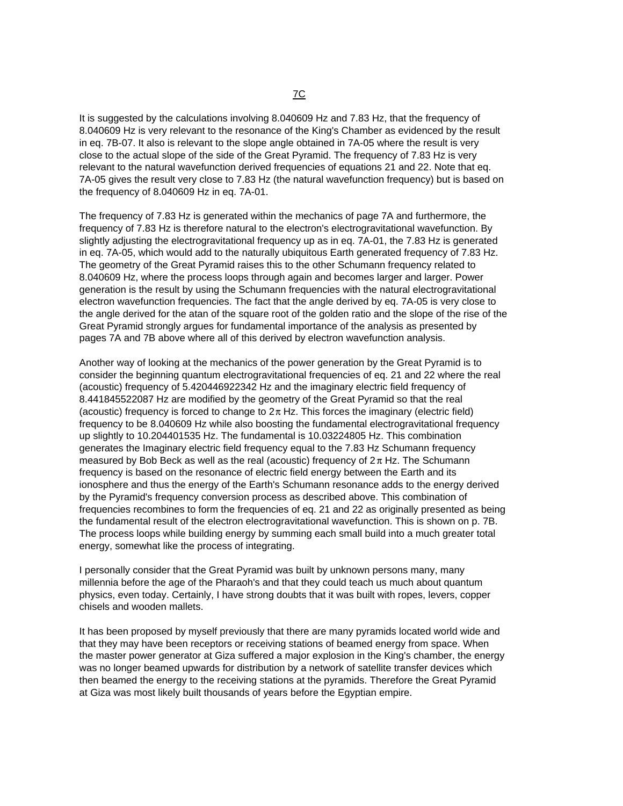It is suggested by the calculations involving 8.040609 Hz and 7.83 Hz, that the frequency of 8.040609 Hz is very relevant to the resonance of the King's Chamber as evidenced by the result in eq. 7B-07. It also is relevant to the slope angle obtained in 7A-05 where the result is very close to the actual slope of the side of the Great Pyramid. The frequency of 7.83 Hz is very relevant to the natural wavefunction derived frequencies of equations 21 and 22. Note that eq. 7A-05 gives the result very close to 7.83 Hz (the natural wavefunction frequency) but is based on the frequency of 8.040609 Hz in eq. 7A-01.

The frequency of 7.83 Hz is generated within the mechanics of page 7A and furthermore, the frequency of 7.83 Hz is therefore natural to the electron's electrogravitational wavefunction. By slightly adjusting the electrogravitational frequency up as in eq. 7A-01, the 7.83 Hz is generated in eq. 7A-05, which would add to the naturally ubiquitous Earth generated frequency of 7.83 Hz. The geometry of the Great Pyramid raises this to the other Schumann frequency related to 8.040609 Hz, where the process loops through again and becomes larger and larger. Power generation is the result by using the Schumann frequencies with the natural electrogravitational electron wavefunction frequencies. The fact that the angle derived by eq. 7A-05 is very close to the angle derived for the atan of the square root of the golden ratio and the slope of the rise of the Great Pyramid strongly argues for fundamental importance of the analysis as presented by pages 7A and 7B above where all of this derived by electron wavefunction analysis.

Another way of looking at the mechanics of the power generation by the Great Pyramid is to consider the beginning quantum electrogravitational frequencies of eq. 21 and 22 where the real (acoustic) frequency of 5.420446922342 Hz and the imaginary electric field frequency of 8.441845522087 Hz are modified by the geometry of the Great Pyramid so that the real (acoustic) frequency is forced to change to  $2\pi$  Hz. This forces the imaginary (electric field) frequency to be 8.040609 Hz while also boosting the fundamental electrogravitational frequency up slightly to 10.204401535 Hz. The fundamental is 10.03224805 Hz. This combination generates the Imaginary electric field frequency equal to the 7.83 Hz Schumann frequency measured by Bob Beck as well as the real (acoustic) frequency of  $2\pi$  Hz. The Schumann frequency is based on the resonance of electric field energy between the Earth and its ionosphere and thus the energy of the Earth's Schumann resonance adds to the energy derived by the Pyramid's frequency conversion process as described above. This combination of frequencies recombines to form the frequencies of eq. 21 and 22 as originally presented as being the fundamental result of the electron electrogravitational wavefunction. This is shown on p. 7B. The process loops while building energy by summing each small build into a much greater total energy, somewhat like the process of integrating.

I personally consider that the Great Pyramid was built by unknown persons many, many millennia before the age of the Pharaoh's and that they could teach us much about quantum physics, even today. Certainly, I have strong doubts that it was built with ropes, levers, copper chisels and wooden mallets.

It has been proposed by myself previously that there are many pyramids located world wide and that they may have been receptors or receiving stations of beamed energy from space. When the master power generator at Giza suffered a major explosion in the King's chamber, the energy was no longer beamed upwards for distribution by a network of satellite transfer devices which then beamed the energy to the receiving stations at the pyramids. Therefore the Great Pyramid at Giza was most likely built thousands of years before the Egyptian empire.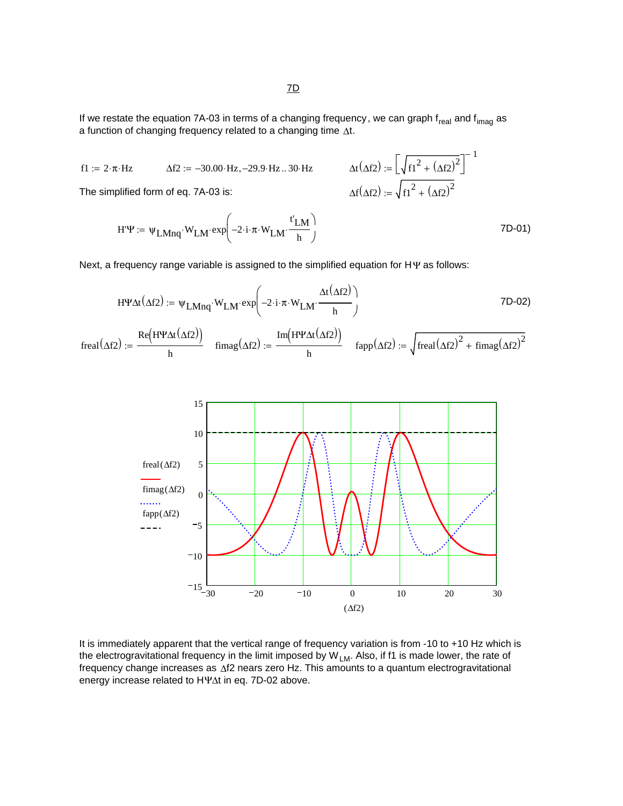$$
f1 := 2 \cdot \pi \cdot Hz \qquad \Delta f2 := -30.00 \cdot Hz, -29.9 \cdot Hz \dots 30 \cdot Hz \qquad \Delta t (\Delta f2) := \left[ \sqrt{f1^2 + (\Delta f2)^2} \right]^{-1}
$$
  
The simplified form of eq. 7A-03 is: 
$$
\Delta f(\Delta f2) := \sqrt{f1^2 + (\Delta f2)^2}
$$

$$
H'\Psi := \Psi_{LMnq} \cdot W_{LM} \cdot \exp\left(-2 \cdot i \cdot \pi \cdot W_{LM} \cdot \frac{t'_{LM}}{h}\right) \tag{7D-01}
$$

Next, a frequency range variable is assigned to the simplified equation for HΨ as follows:

$$
H\Psi \Delta t (\Delta f2) := \Psi_{LMnq} \cdot W_{LM} \cdot \exp\left(-2 \cdot i \cdot \pi \cdot W_{LM} \cdot \frac{\Delta t (\Delta f2)}{h}\right) \tag{7D-02}
$$

 $f \text{imag}(\Delta f2) := \frac{\text{Im}(\text{H} \pm \Delta t \Delta f2)}{\Delta f2}$   $f \text{app}(\Delta f2) := \int \text{freq}(\Delta f2)^2 + f \text{imag}(\Delta f2)^2$ Im(HY∆t(∆f2)) freal( $\Delta f2$ ) :=  $\frac{1}{h}$  fimag( $\Delta f2$ ) :=  $\frac{1}{h}$ Re(HY∆t(∆f2))  $:=\frac{1}{h}$ 



It is immediately apparent that the vertical range of frequency variation is from -10 to +10 Hz which is the electrogravitational frequency in the limit imposed by  $W_{LM}$ . Also, if f1 is made lower, the rate of frequency change increases as ∆f2 nears zero Hz. This amounts to a quantum electrogravitational energy increase related to HΨ∆t in eq. 7D-02 above.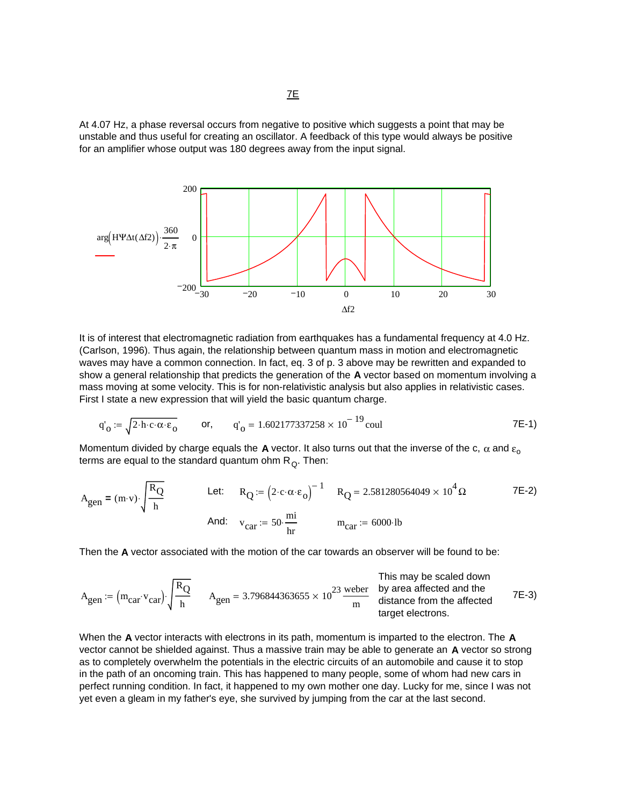At 4.07 Hz, a phase reversal occurs from negative to positive which suggests a point that may be unstable and thus useful for creating an oscillator. A feedback of this type would always be positive for an amplifier whose output was 180 degrees away from the input signal.



It is of interest that electromagnetic radiation from earthquakes has a fundamental frequency at 4.0 Hz. (Carlson, 1996). Thus again, the relationship between quantum mass in motion and electromagnetic waves may have a common connection. In fact, eq. 3 of p. 3 above may be rewritten and expanded to show a general relationship that predicts the generation of the **A** vector based on momentum involving a mass moving at some velocity. This is for non-relativistic analysis but also applies in relativistic cases. First I state a new expression that will yield the basic quantum charge.

$$
q'_{0} := \sqrt{2 \cdot h \cdot c \cdot \alpha \cdot \epsilon_{0}}
$$
 or,  $q'_{0} = 1.602177337258 \times 10^{-19}$  coul 7E-1)

Momentum divided by charge equals the **A** vector. It also turns out that the inverse of the c,  $\alpha$  and  $\epsilon_0$ terms are equal to the standard quantum ohm  $R_0$ . Then:

$$
A_{gen} = (m \cdot v) \cdot \sqrt{\frac{R_Q}{h}}
$$
 Let:  $R_Q := (2 \cdot c \cdot \alpha \cdot \epsilon_o)^{-1}$   $R_Q = 2.581280564049 \times 10^4 \Omega$  7E-2)  
And:  $v_{car} := 50 \cdot \frac{mi}{hr}$   $m_{car} := 6000 \cdot lb$ 

Then the **A** vector associated with the motion of the car towards an observer will be found to be:

This may be scaled down  
\n
$$
A_{gen} = (m_{car} \cdot v_{car}) \cdot \sqrt{\frac{R_Q}{h}}
$$
\n
$$
A_{gen} = 3.796844363655 \times 10^{23} \frac{\text{weber}}{\text{m}}
$$
\nThis may be scaled down  
\nby area affected and the  
\ndistance from the affected  
\ntarget electrons.

When the **A** vector interacts with electrons in its path, momentum is imparted to the electron. The **A** vector cannot be shielded against. Thus a massive train may be able to generate an **A** vector so strong as to completely overwhelm the potentials in the electric circuits of an automobile and cause it to stop in the path of an oncoming train. This has happened to many people, some of whom had new cars in perfect running condition. In fact, it happened to my own mother one day. Lucky for me, since I was not yet even a gleam in my father's eye, she survived by jumping from the car at the last second.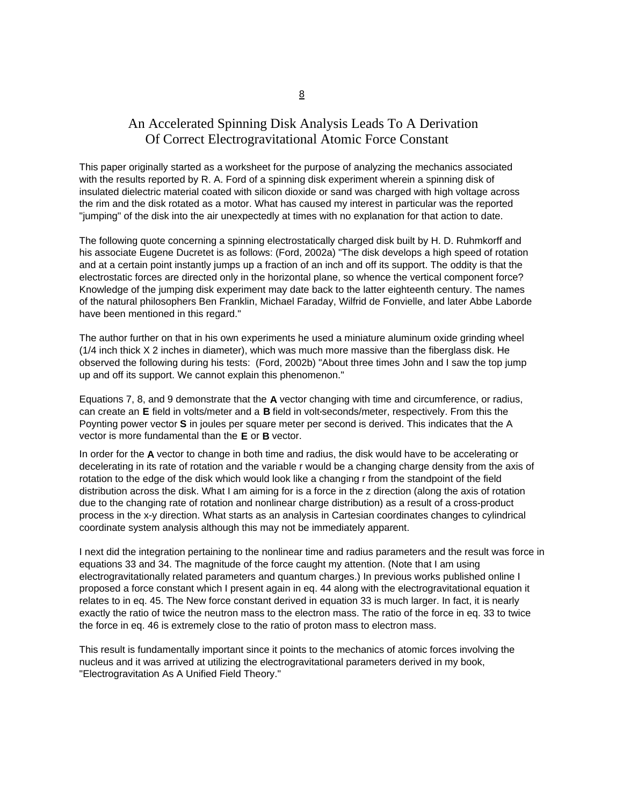## An Accelerated Spinning Disk Analysis Leads To A Derivation Of Correct Electrogravitational Atomic Force Constant

This paper originally started as a worksheet for the purpose of analyzing the mechanics associated with the results reported by R. A. Ford of a spinning disk experiment wherein a spinning disk of insulated dielectric material coated with silicon dioxide or sand was charged with high voltage across the rim and the disk rotated as a motor. What has caused my interest in particular was the reported "jumping" of the disk into the air unexpectedly at times with no explanation for that action to date.

The following quote concerning a spinning electrostatically charged disk built by H. D. Ruhmkorff and his associate Eugene Ducretet is as follows: (Ford, 2002a) "The disk develops a high speed of rotation and at a certain point instantly jumps up a fraction of an inch and off its support. The oddity is that the electrostatic forces are directed only in the horizontal plane, so whence the vertical component force? Knowledge of the jumping disk experiment may date back to the latter eighteenth century. The names of the natural philosophers Ben Franklin, Michael Faraday, Wilfrid de Fonvielle, and later Abbe Laborde have been mentioned in this regard."

The author further on that in his own experiments he used a miniature aluminum oxide grinding wheel (1/4 inch thick X 2 inches in diameter), which was much more massive than the fiberglass disk. He observed the following during his tests: (Ford, 2002b) "About three times John and I saw the top jump up and off its support. We cannot explain this phenomenon."

Equations 7, 8, and 9 demonstrate that the **A** vector changing with time and circumference, or radius, can create an **E** field in volts/meter and a **B** field in volt**.**seconds/meter, respectively. From this the Poynting power vector **S** in joules per square meter per second is derived. This indicates that the A vector is more fundamental than the **E** or **B** vector.

In order for the **A** vector to change in both time and radius, the disk would have to be accelerating or decelerating in its rate of rotation and the variable r would be a changing charge density from the axis of rotation to the edge of the disk which would look like a changing r from the standpoint of the field distribution across the disk. What I am aiming for is a force in the z direction (along the axis of rotation due to the changing rate of rotation and nonlinear charge distribution) as a result of a cross-product process in the x-y direction. What starts as an analysis in Cartesian coordinates changes to cylindrical coordinate system analysis although this may not be immediately apparent.

I next did the integration pertaining to the nonlinear time and radius parameters and the result was force in equations 33 and 34. The magnitude of the force caught my attention. (Note that I am using electrogravitationally related parameters and quantum charges.) In previous works published online I proposed a force constant which I present again in eq. 44 along with the electrogravitational equation it relates to in eq. 45. The New force constant derived in equation 33 is much larger. In fact, it is nearly exactly the ratio of twice the neutron mass to the electron mass. The ratio of the force in eq. 33 to twice the force in eq. 46 is extremely close to the ratio of proton mass to electron mass.

This result is fundamentally important since it points to the mechanics of atomic forces involving the nucleus and it was arrived at utilizing the electrogravitational parameters derived in my book, "Electrogravitation As A Unified Field Theory."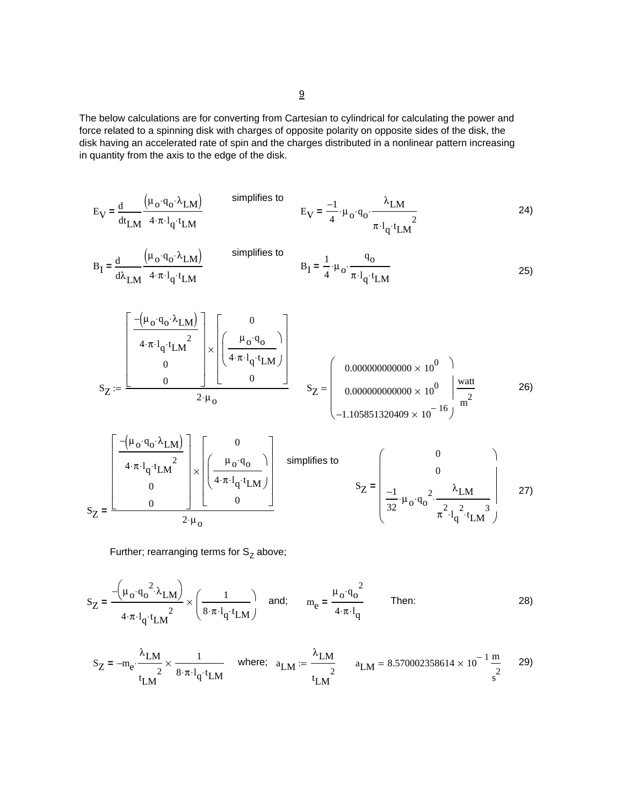The below calculations are for converting from Cartesian to cylindrical for calculating the power and force related to a spinning disk with charges of opposite polarity on opposite sides of the disk, the disk having an accelerated rate of spin and the charges distributed in a nonlinear pattern increasing in quantity from the axis to the edge of the disk.

$$
E_V = \frac{d}{dt_{LM}} \frac{(\mu_0 \cdot q_0 \cdot \lambda_{LM})}{4 \cdot \pi \cdot l_q \cdot t_{LM}}
$$
 simplifies to 
$$
E_V = \frac{-1}{4} \cdot \mu_0 \cdot q_0 \cdot \frac{\lambda_{LM}}{\pi \cdot l_q \cdot t_{LM}^2}
$$
 (24)

$$
B_{I} = \frac{d}{d\lambda_{LM}} \frac{\left(\mu_{O} \cdot q_{O} \cdot \lambda_{LM}\right)}{4 \cdot \pi \cdot l_{q} \cdot t_{LM}}
$$
 simplifies to 
$$
B_{I} = \frac{1}{4} \cdot \mu_{O} \cdot \frac{q_{O}}{\pi \cdot l_{q} \cdot t_{LM}}
$$
 (25)

⎤ <sup>S</sup> 26) <sup>Z</sup> 0.000000000000 10<sup>0</sup> × 0.000000000000 10<sup>0</sup> × <sup>−</sup>1.105851320409 <sup>10</sup><sup>−</sup> <sup>16</sup> × ⎛ ⎜ ⎜ ⎜ ⎜ ⎝ ⎞ ⎟ ⎟ ⎠ watt m2 S = Z µo qo ⋅ λ −( ) ⋅ LM 4⋅π l q⋅ t LM <sup>2</sup> <sup>⋅</sup> 0 0 ⎡ ⎢ ⎢ ⎢ ⎢ ⎢ ⎣ ⎤ ⎥ ⎥ ⎥ ⎥ ⎥ ⎦ 0 µo qo ⋅ 4⋅π l q⋅ t⋅ LM ⎛ ⎜ ⎜ ⎝ ⎞ ⎠ 0 ⎡ ⎢ ⎢ ⎢ ⎢ ⎣ ⎤ ⎥ ⎥ ⎥ ⎥ ⎦ × <sup>2</sup> <sup>µ</sup><sup>o</sup> <sup>⋅</sup> :=

$$
S_Z = \frac{\begin{bmatrix} -(\mu_0 \cdot q_0 \cdot \lambda_{LM}) & 0 \\ 4 \cdot \pi \cdot l_q \cdot t_{LM}^2 & 0 \\ 0 & 0 \end{bmatrix} \times \begin{bmatrix} 0 \\ \mu_0 \cdot q_0 \\ 4 \cdot \pi \cdot l_q \cdot t_{LM} \end{bmatrix} \quad \text{simpities to} \quad S_Z = \begin{bmatrix} 0 \\ 0 \\ \frac{-1}{32} \cdot \mu_0 \cdot q_0^2 \cdot \frac{\lambda_{LM}}{\pi^2 \cdot l_q^2 \cdot t_{LM}^3} \end{bmatrix} \quad 27)
$$

Further; rearranging terms for  $S_Z$  above;

$$
S_Z = \frac{-\left(\mu_o \cdot q_o^2 \cdot \lambda_{LM}\right)}{4 \cdot \pi \cdot l_q \cdot t_{LM}^2} \times \left(\frac{1}{8 \cdot \pi \cdot l_q \cdot t_{LM}}\right) \quad \text{and;} \quad m_e = \frac{\mu_o \cdot q_o^2}{4 \cdot \pi \cdot l_q} \qquad \text{Then:} \tag{28}
$$

$$
S_Z = -m_e \cdot \frac{\lambda_{LM}}{t_{LM}^2} \times \frac{1}{8 \cdot \pi \cdot l_q \cdot t_{LM}} \quad \text{where;} \quad a_{LM} := \frac{\lambda_{LM}}{t_{LM}^2} \qquad a_{LM} = 8.570002358614 \times 10^{-1} \frac{m}{s^2} \qquad 29)
$$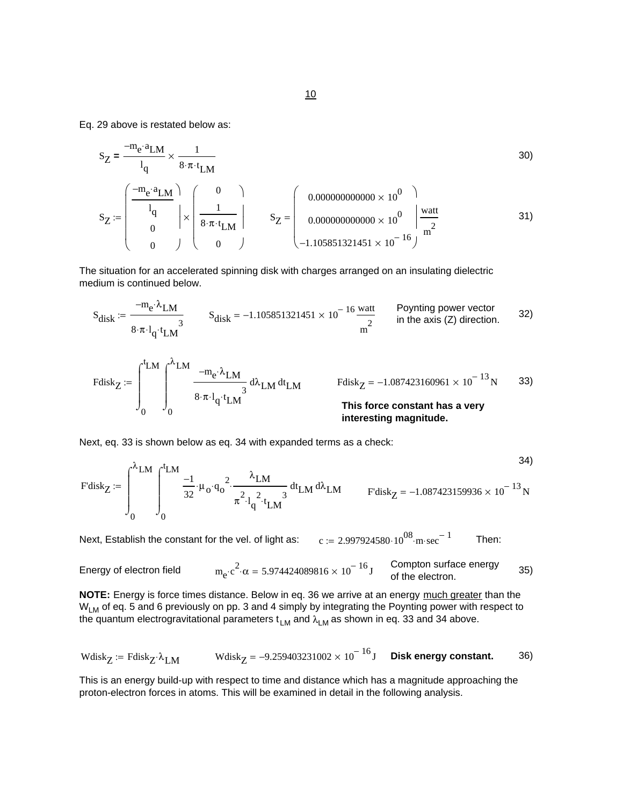Eq. 29 above is restated below as:

SZ me − a⋅ LM l q 1 8⋅π t⋅ LM **=** × 30) SZ me − a⋅ LM l q 0 0 ⎛ ⎜ ⎜ ⎜ ⎜ ⎝ ⎞ ⎟ ⎟ ⎠ 0 1 8⋅π t⋅ LM 0 ⎛ ⎜ ⎜ ⎜ ⎜ ⎝ ⎞ ⎟ ⎟ ⎠ := × SZ 0.000000000000 10<sup>0</sup> × 0.000000000000 10<sup>0</sup> × <sup>−</sup>1.105851321451 <sup>10</sup><sup>−</sup> <sup>16</sup> × ⎛ ⎜ ⎜ ⎜ ⎜ ⎝ ⎞ ⎟ ⎟ ⎠ watt m2 <sup>=</sup> 31)

The situation for an accelerated spinning disk with charges arranged on an insulating dielectric medium is continued below.

$$
S_{disk} := \frac{-m_e \cdot \lambda_{LM}}{8 \cdot \pi \cdot l_q \cdot t_{LM}^3}
$$
 
$$
S_{disk} = -1.105851321451 \times 10^{-16} \frac{\text{watt}}{m^2}
$$
 Poynting power vector  
in the axis (Z) direction. 32)

Fdisk<sub>Z</sub> := 
$$
\int_{0}^{t_{LM}} \int_{0}^{\lambda_{LM}} \frac{-m_e \cdot \lambda_{LM}}{8 \cdot \pi \cdot l_q \cdot t_{LM}} d\lambda_{LM} dt_{LM}
$$
 Fdisk<sub>Z</sub> = -1.087423160961 × 10<sup>-13</sup> N 33)  
This force constant has a very interesting magnitude.

Next, eq. 33 is shown below as eq. 34 with expanded terms as a check:

$$
\text{F'disk}_{Z} := \int_{0}^{\lambda_{LM}} \int_{0}^{t_{LM}} \frac{-1}{32} \cdot \mu_0 \cdot q_0^2 \cdot \frac{\lambda_{LM}}{\pi^2 \cdot l_q^2 \cdot t_{LM}} \, dt_{LM} \qquad \text{F'disk}_{Z} = -1.087423159936 \times 10^{-13} \text{N}
$$

Next, Establish the constant for the vel. of light as:  $c := 2.997924580 \cdot 10^{08}$  m sec<sup>-1</sup> Then:

Energy of electron field 
$$
m_e \cdot c^2 \cdot \alpha = 5.974424089816 \times 10^{-16} \text{ J}
$$
 Compton surface energy of the electron.

**NOTE:** Energy is force times distance. Below in eq. 36 we arrive at an energy much greater than the W<sub>LM</sub> of eq. 5 and 6 previously on pp. 3 and 4 simply by integrating the Poynting power with respect to the quantum electrogravitational parameters  $t_{LM}$  and  $\lambda_{LM}$  as shown in eq. 33 and 34 above.

$$
\text{Wdisk}_{Z} := \text{Fdisk}_{Z} \cdot \lambda_{LM} \quad \text{Wdisk}_{Z} = -9.259403231002 \times 10^{-16} \text{J} \quad \text{Disk energy constant.} \tag{36}
$$

This is an energy build-up with respect to time and distance which has a magnitude approaching the proton-electron forces in atoms. This will be examined in detail in the following analysis.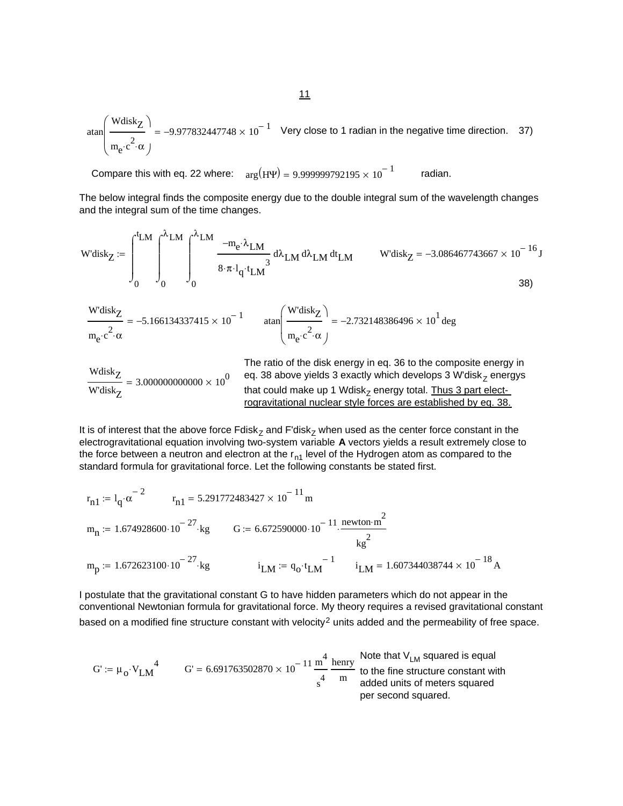$$
\tan\left(\frac{\text{Wdisk}_Z}{m_e \cdot c^2 \cdot \alpha}\right) = -9.977832447748 \times 10^{-1} \quad \text{Very close to 1 radian in the negative time direction.} \quad 37)
$$

Compare this with eq. 22 where:  $arg(H\Psi) = 9.999999792195 \times 10^{-1}$  radian.

The below integral finds the composite energy due to the double integral sum of the wavelength changes and the integral sum of the time changes.

$$
\text{W'disk}_{Z} := \int_{0}^{t_{LM}} \int_{0}^{\lambda_{LM}} \int_{0}^{\lambda_{LM}} \frac{-m_{e} \cdot \lambda_{LM}}{8 \cdot \pi \cdot l_{q} \cdot t_{LM}} d\lambda_{LM} d\lambda_{LM} dt_{LM} \qquad \text{W'disk}_{Z} = -3.086467743667 \times 10^{-16} \text{J}
$$

$$
\frac{\text{W'disk}_{Z}}{\text{m}_{e} \cdot c^{2} \cdot \alpha} = -5.166134337415 \times 10^{-1} \quad \text{atan} \left( \frac{\text{W'disk}_{Z}}{\text{m}_{e} \cdot c^{2} \cdot \alpha} \right) = -2.732148386496 \times 10^{1} \text{ deg}
$$

WdiskZ W'diskZ 3.000000000000 10<sup>0</sup> <sup>=</sup> <sup>×</sup> The ratio of the disk energy in eq. 36 to the composite energy in eq. 38 above yields 3 exactly which develops 3 W'diskZ energys that could make up 1 WdiskZ energy total. Thus 3 part electrogravitational nuclear style forces are established by eq. 38.

It is of interest that the above force  $Fdisk_Z$  and  $Fdisk_Z$  when used as the center force constant in the electrogravitational equation involving two-system variable **A** vectors yields a result extremely close to the force between a neutron and electron at the  $r_{n1}$  level of the Hydrogen atom as compared to the standard formula for gravitational force. Let the following constants be stated first.

$$
r_{n1} := l_q \cdot \alpha^{-2}
$$
  $r_{n1} = 5.291772483427 \times 10^{-11} \text{ m}$   
\n $m_n := 1.674928600 \cdot 10^{-27} \text{ kg}$   $G := 6.672590000 \cdot 10^{-11} \cdot \frac{\text{newton} \cdot \text{m}^2}{\text{ kg}^2}$   
\n $m_p := 1.672623100 \cdot 10^{-27} \text{ kg}$   $i_{LM} := q_0 \cdot t_{LM}^{-1}$   $i_{LM} = 1.607344038744 \times 10^{-18} \text{ A}$ 

I postulate that the gravitational constant G to have hidden parameters which do not appear in the conventional Newtonian formula for gravitational force. My theory requires a revised gravitational constant based on a modified fine structure constant with velocity<sup>2</sup> units added and the permeability of free space.

$$
G' := \mu_0 \cdot V_{LM}^4
$$
\n
$$
G' = 6.691763502870 \times 10^{-11} \frac{m^4}{s^4} \frac{henry}{m}
$$
\nNote that V<sub>LM</sub> squared is equal to the fine structure constant with added units of meters squared per second squared.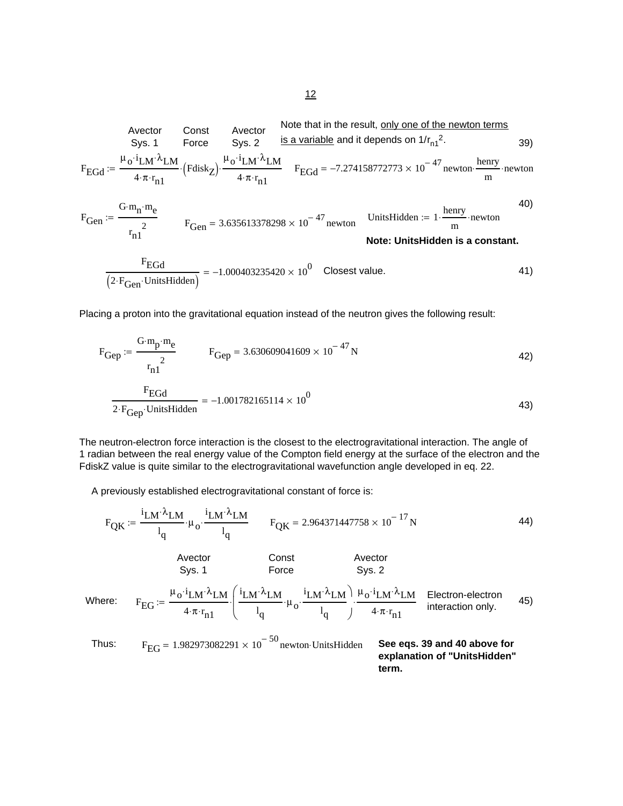Note that in the result, only one of the newton terms is a variable and it depends on 1/rn1 2. Avector Sys. 1 Const Force Avector Sys. 2 39) FEGd µo i⋅ λ LM⋅ LM 4⋅π r n1 <sup>⋅</sup> Fdisk ( ) <sup>Z</sup> <sup>⋅</sup> µo i⋅ λ LM⋅ LM 4⋅π r n1 <sup>⋅</sup> := <sup>⋅</sup> FEGd <sup>−</sup>7.274158772773 <sup>10</sup><sup>−</sup> <sup>47</sup> <sup>×</sup> newton henry <sup>m</sup> <sup>=</sup> <sup>⋅</sup> <sup>⋅</sup>newton 40) FGen G mn ⋅ me ⋅ r n1 2 := UnitsHidden 1 henry <sup>m</sup> := <sup>⋅</sup> <sup>⋅</sup>newton FGen 3.635613378298 10<sup>−</sup> <sup>47</sup> <sup>=</sup> <sup>×</sup> newton **Note: UnitsHidden is a constant.** FEGd 2 FGen ( ) <sup>⋅</sup> <sup>⋅</sup>UnitsHidden <sup>−</sup>1.000403235420 <sup>10</sup><sup>0</sup> <sup>=</sup> <sup>×</sup> Closest value. 41)

Placing a proton into the gravitational equation instead of the neutron gives the following result:

$$
F_{Gep} := \frac{G \cdot m_p \cdot m_e}{r_{n1}^2} \qquad F_{Gep} = 3.630609041609 \times 10^{-47} N \qquad (42)
$$
\n
$$
\frac{F_{EGd}}{2 \cdot F_{Gep} \cdot \text{UnitsHidden}} = -1.001782165114 \times 10^0 \qquad (43)
$$

The neutron-electron force interaction is the closest to the electrogravitational interaction. The angle of 1 radian between the real energy value of the Compton field energy at the surface of the electron and the FdiskZ value is quite similar to the electrogravitational wavefunction angle developed in eq. 22.

A previously established electrogravitational constant of force is:

⎝

$$
F_{QK} := \frac{i_{LM} \lambda_{LM}}{l_q} \cdot \mu_o \cdot \frac{i_{LM} \lambda_{LM}}{l_q} \qquad F_{QK} = 2.964371447758 \times 10^{-17} N \qquad (44)
$$
\n
$$
\text{Avector} \qquad \text{Const} \qquad \text{Avector} \qquad \text{Sys. 2}
$$
\n
$$
\text{Where:} \qquad F_{EG} := \frac{\mu_o \cdot i_{LM} \cdot \lambda_{LM}}{4 \cdot \pi \cdot r_{n1}} \cdot \left( \frac{i_{LM} \cdot \lambda_{LM}}{l_q} \cdot \mu_o \cdot \frac{i_{LM} \cdot \lambda_{LM}}{l_q} \right) \cdot \frac{\mu_o \cdot i_{LM} \cdot \lambda_{LM}}{4 \cdot \pi \cdot r_{n1}} \qquad \text{Electron-electron} \qquad \text{45}
$$

Thus: 
$$
F_{EG} = 1.982973082291 \times 10^{-50}
$$
 newton-UnitsHidden **See eqs. 39 and 40 above for explanation of "UnitsHidden" term.**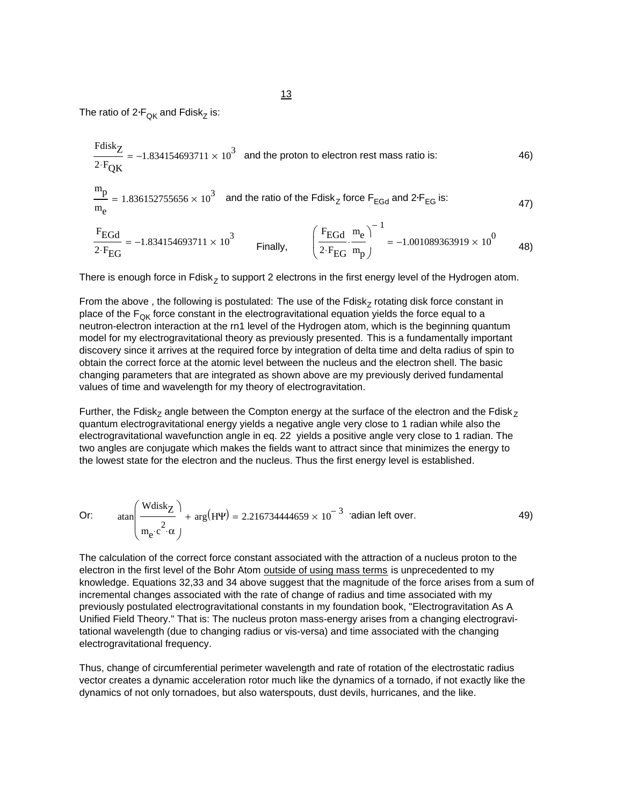The ratio of 2<mark>·F<sub>QK</sub> and Fdisk<sub>Z</sub> is:</mark>

$$
\frac{\text{Fdisk}_{Z}}{2 \cdot \text{F}_{QK}} = -1.834154693711 \times 10^{3} \text{ and the proton to electron rest mass ratio is:}
$$
\n
$$
\frac{m_{p}}{m_{e}} = 1.836152755656 \times 10^{3} \text{ and the ratio of the Fdisk}_{Z} \text{ force } \text{F}_{EGd} \text{ and } 2 \cdot \text{F}_{EG} \text{ is:}
$$
\n
$$
\frac{\text{F}_{EGd}}{2 \cdot \text{F}_{EG}} = -1.834154693711 \times 10^{3} \text{ Finally,}
$$
\n
$$
\left(\frac{\text{F}_{EGd}}{2 \cdot \text{F}_{EG}} \cdot \frac{m_{e}}{m_{p}}\right)^{-1} = -1.001089363919 \times 10^{0} \text{ 48}
$$

 $($ <sup>2</sup> $\cdot$ **F**<sub>EG</sub> m<sub>p</sub> $)$ 

There is enough force in Fdisk<sub>7</sub> to support 2 electrons in the first energy level of the Hydrogen atom.

From the above, the following is postulated: The use of the Fdisk $<sub>Z</sub>$  rotating disk force constant in</sub> place of the  $F_{OK}$  force constant in the electrogravitational equation yields the force equal to a neutron-electron interaction at the rn1 level of the Hydrogen atom, which is the beginning quantum model for my electrogravitational theory as previously presented. This is a fundamentally important discovery since it arrives at the required force by integration of delta time and delta radius of spin to obtain the correct force at the atomic level between the nucleus and the electron shell. The basic changing parameters that are integrated as shown above are my previously derived fundamental values of time and wavelength for my theory of electrogravitation.

Further, the Fdisk<sub>z</sub> angle between the Compton energy at the surface of the electron and the Fdisk<sub>z</sub> quantum electrogravitational energy yields a negative angle very close to 1 radian while also the electrogravitational wavefunction angle in eq. 22 yields a positive angle very close to 1 radian. The two angles are conjugate which makes the fields want to attract since that minimizes the energy to the lowest state for the electron and the nucleus. Thus the first energy level is established.

Or: 
$$
\tan\left(\frac{\text{Wdisk}_Z}{m_e \cdot c^2 \cdot \alpha}\right) + \arg(\text{H}\Psi) = 2.216734444659 \times 10^{-3} \text{ radian left over.}
$$
 49)

The calculation of the correct force constant associated with the attraction of a nucleus proton to the electron in the first level of the Bohr Atom outside of using mass terms is unprecedented to my knowledge. Equations 32,33 and 34 above suggest that the magnitude of the force arises from a sum of incremental changes associated with the rate of change of radius and time associated with my previously postulated electrogravitational constants in my foundation book, "Electrogravitation As A Unified Field Theory." That is: The nucleus proton mass-energy arises from a changing electrogravitational wavelength (due to changing radius or vis-versa) and time associated with the changing electrogravitational frequency.

Thus, change of circumferential perimeter wavelength and rate of rotation of the electrostatic radius vector creates a dynamic acceleration rotor much like the dynamics of a tornado, if not exactly like the dynamics of not only tornadoes, but also waterspouts, dust devils, hurricanes, and the like.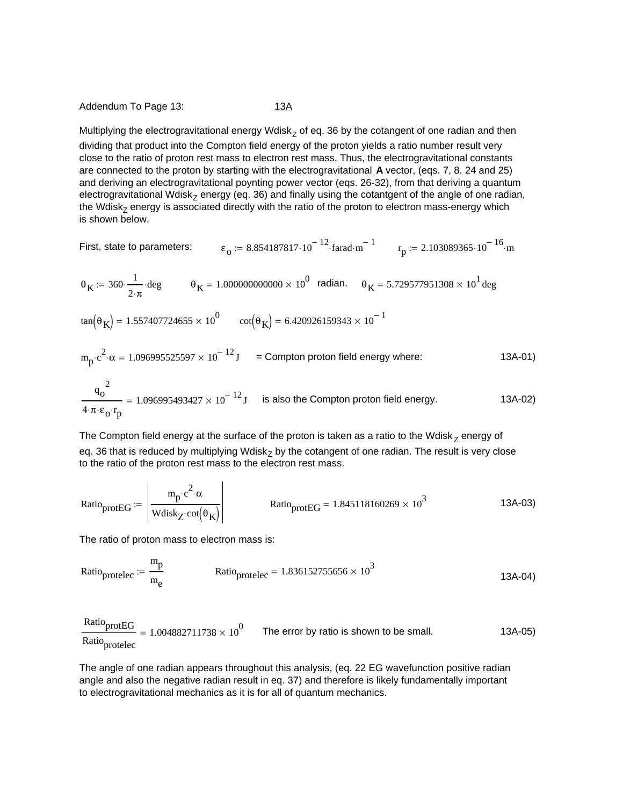#### Addendum To Page 13: 13A

Multiplying the electrogravitational energy Wdisk<sub>z</sub> of eq. 36 by the cotangent of one radian and then dividing that product into the Compton field energy of the proton yields a ratio number result very close to the ratio of proton rest mass to electron rest mass. Thus, the electrogravitational constants are connected to the proton by starting with the electrogravitational **A** vector, (eqs. 7, 8, 24 and 25) and deriving an electrogravitational poynting power vector (eqs. 26-32), from that deriving a quantum electrogravitational Wdisk<sub>z</sub> energy (eq. 36) and finally using the cotantgent of the angle of one radian, the Wdisk<sub>z</sub> energy is associated directly with the ratio of the proton to electron mass-energy which is shown below.

First, state to parameters: 
$$
\epsilon_0 := 8.854187817 \cdot 10^{-12} \cdot \text{farad} \cdot m^{-1}
$$
  $r_p := 2.103089365 \cdot 10^{-16} \cdot m$ 

$$
\theta_K := 360 \cdot \frac{1}{2 \cdot \pi} \cdot \text{deg}
$$
\n $\theta_K = 1.000000000000 \times 10^0 \text{ radian.}$ \n $\theta_K = 5.729577951308 \times 10^1 \text{ deg}$ 

 $tan(\theta_K) = 1.557407724655 \times 10^0$   $cot(\theta_K) = 6.420926159343 \times 10^{-1}$ 

$$
m_p \cdot c^2 \cdot \alpha = 1.096995525597 \times 10^{-12} \text{ J} = \text{Compton proton field energy where:}
$$
 13A-01)

$$
\frac{q_0^2}{4 \cdot \pi \cdot \varepsilon_0 \cdot r_p} = 1.096995493427 \times 10^{-12} \text{ J}
$$
 is also the Compton proton field energy.

The Compton field energy at the surface of the proton is taken as a ratio to the Wdisk<sub>7</sub> energy of eq. 36 that is reduced by multiplying Wdisk<sub>z</sub> by the cotangent of one radian. The result is very close to the ratio of the proton rest mass to the electron rest mass.

$$
Ratio_{protEG} := \left| \frac{m_p \cdot c^2 \cdot \alpha}{Wdisk_Z \cdot cot(\theta_K)} \right| \qquad \qquad Ratio_{protEG} = 1.845118160269 \times 10^3 \qquad \qquad 13A-03)
$$

The ratio of proton mass to electron mass is:

Ratio<sub>protelec</sub> := 
$$
\frac{m_p}{m_e}
$$
 Ratio<sub>protelec</sub> = 1.836152755656 × 10<sup>3</sup> 13A-04)

 $\frac{\text{Ratio}}{\text{protEG}} = 1.004882711738 \times 10^0$  The error by ratio is shown to be small. 13A-05) Ratioprotelec

The angle of one radian appears throughout this analysis, (eq. 22 EG wavefunction positive radian angle and also the negative radian result in eq. 37) and therefore is likely fundamentally important to electrogravitational mechanics as it is for all of quantum mechanics.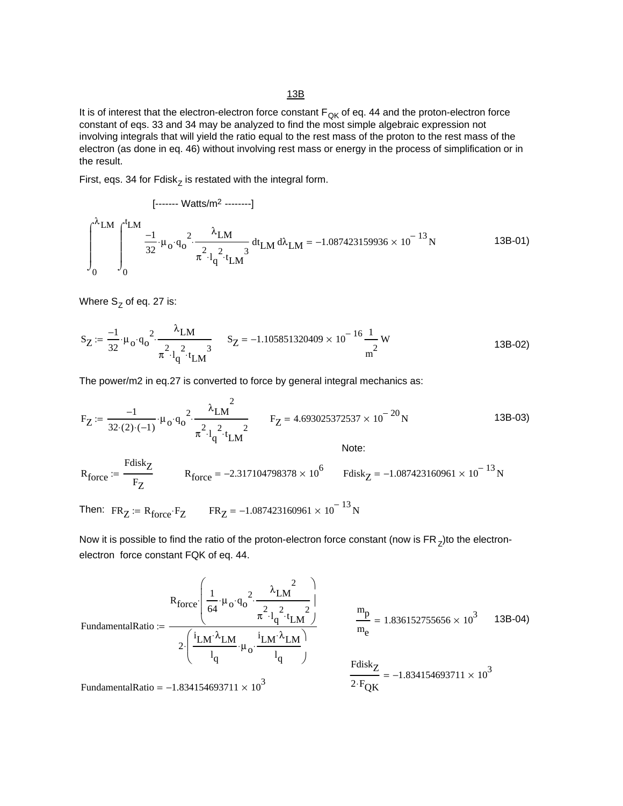#### 13B

It is of interest that the electron-electron force constant  $F_{\text{QK}}$  of eq. 44 and the proton-electron force constant of eqs. 33 and 34 may be analyzed to find the most simple algebraic expression not involving integrals that will yield the ratio equal to the rest mass of the proton to the rest mass of the electron (as done in eq. 46) without involving rest mass or energy in the process of simplification or in the result.

First, eqs. 34 for  $Fdisk_Z$  is restated with the integral form.

$$
\int_{0}^{\lambda_{LM}} \int_{0}^{t_{LM}} \frac{1}{32} \cdot \mu_{o} \cdot q_{o}^{2} \cdot \frac{\lambda_{LM}}{\pi^{2} \cdot l_{q}^{2} \cdot t_{LM}} dt_{LM} d\lambda_{LM} = -1.087423159936 \times 10^{-13} N
$$
 (3B-01)

Where  $S_Z$  of eq. 27 is:

$$
S_Z := \frac{-1}{32} \cdot \mu_0 \cdot q_0^2 \cdot \frac{\lambda_{LM}}{\pi^2 \cdot l_q^2 \cdot t_{LM}^3}
$$
 
$$
S_Z = -1.105851320409 \times 10^{-16} \frac{1}{m^2} W
$$
 (13B-02)

The power/m2 in eq.27 is converted to force by general integral mechanics as:

$$
F_Z := \frac{-1}{32 \cdot (2) \cdot (-1)} \cdot \mu_0 \cdot q_0^2 \cdot \frac{\lambda_{LM}^2}{\pi^2 \cdot l_q^2 \cdot t_{LM}^2} \qquad F_Z = 4.693025372537 \times 10^{-20} N \qquad 13B-03)
$$

$$
R_{force} := \frac{Fdisk_Z}{F_Z} \qquad R_{force} = -2.317104798378 \times 10^6 \qquad Fdisk_Z = -1.087423160961 \times 10^{-13} N
$$

Then:  $FR_Z = R_{force} \cdot F_Z$  FR<sub>Z</sub> = -1.087423160961 × 10<sup>-13</sup> N

Now it is possible to find the ratio of the proton-electron force constant (now is  $FR<sub>z</sub>$ )to the electronelectron force constant FQK of eq. 44.

$$
\text{FundamentalRatio} := \frac{R_{\text{force}} \left( \frac{1}{64} \cdot \mu_0 \cdot q_0^2 \cdot \frac{\lambda_{\text{LM}}^2}{\pi^2 \cdot l_{\text{d}}^2 \cdot t_{\text{LM}}^2} \right)}{\frac{2}{l_{\text{d}} \left( \frac{i_{\text{LM}} \cdot \lambda_{\text{LM}}}{l_{\text{d}} \cdot \mu_0 \cdot \frac{i_{\text{LM}} \cdot \lambda_{\text{LM}}}{l_{\text{d}} \cdot \mu_0} \right)}} = 1.836152755656 \times 10^3 \quad 13\text{B-04}
$$
\n
$$
\frac{m_p}{m_e} = 1.836152755656 \times 10^3 \quad 13\text{B-04}
$$
\n
$$
\frac{F \text{disk}_Z}{2 \cdot F_{\text{QK}}} = -1.834154693711 \times 10^3
$$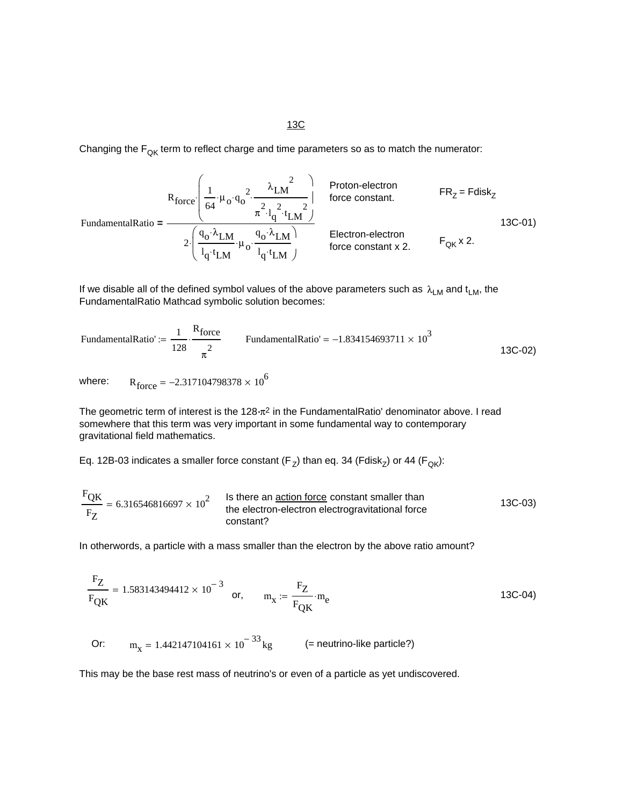#### 13C

Changing the  $F_{\text{QK}}$  term to reflect charge and time parameters so as to match the numerator:

$$
F_{\text{force}} = \frac{R_{\text{force}} \left( \frac{1}{64} \cdot \mu_{o} \cdot q_{o}^{2} \cdot \frac{\lambda_{LM}^{2}}{\pi^{2} \cdot l_{q}^{2} \cdot t_{LM}^{2}} \right)}{\pi^{2} \cdot l_{q}^{2} \cdot l_{LM} \cdot \mu_{o} \cdot \frac{q_{o} \cdot \lambda_{LM}}{l_{q} \cdot t_{LM}} \cdot \mu_{o} \cdot \frac{q_{o} \cdot \lambda_{LM}}{l_{q} \cdot t_{LM}} \cdot \mu_{o} \cdot \frac{Election-electron}{f_{\text{force constant x 2}}} \qquad F_{\text{QK}} \times 2. \qquad (13C-01)
$$

If we disable all of the defined symbol values of the above parameters such as  $\lambda_{LM}$  and  $t_{LM}$ , the FundamentalRatio Mathcad symbolic solution becomes:

FundamentalRatio' := 
$$
\frac{1}{128} \cdot \frac{R_{force}}{\pi^2}
$$
 FundamentalRatio' = -1.834154693711 × 10<sup>3</sup> 13C-02)

where:  $R_{force} = -2.317104798378 \times 10^6$ 

The geometric term of interest is the 128**.**π2 in the FundamentalRatio' denominator above. I read somewhere that this term was very important in some fundamental way to contemporary gravitational field mathematics.

Eq. 12B-03 indicates a smaller force constant  $(F_{Z})$  than eq. 34 (Fdisk<sub>Z</sub>) or 44 (F<sub>QK</sub>):

$$
\frac{F_{\text{QK}}}{F_{\text{Z}}} = 6.316546816697 \times 10^{2}
$$
 Is there an action force constant smaller than  
the electron-electron electrogravitational force  
constant?

In otherwords, a particle with a mass smaller than the electron by the above ratio amount?

$$
\frac{F_Z}{F_{QK}} = 1.583143494412 \times 10^{-3} \quad \text{or,} \quad m_X := \frac{F_Z}{F_{QK}} \cdot m_e
$$
 (13C-04)

Or:  $m_x = 1.442147104161 \times 10^{-33}$  kg (= neutrino-like particle?)

This may be the base rest mass of neutrino's or even of a particle as yet undiscovered.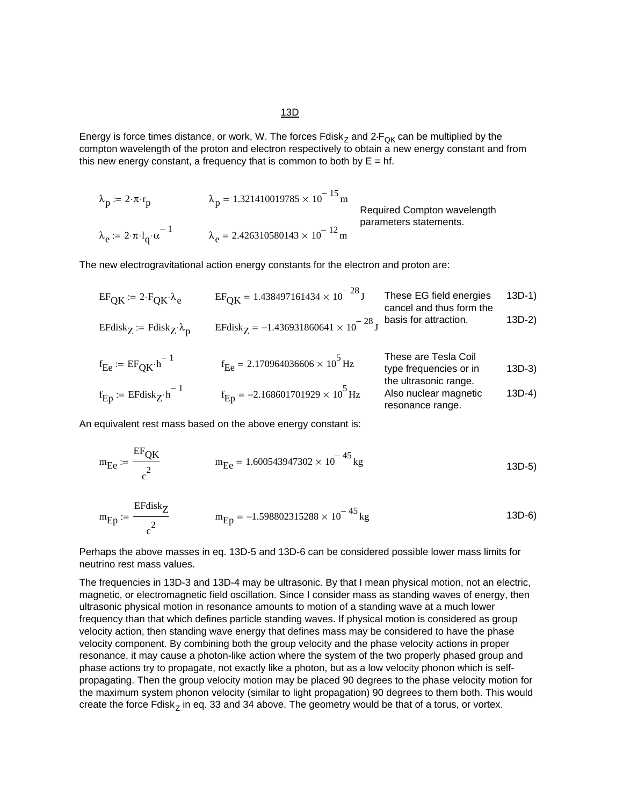Energy is force times distance, or work, W. The forces Fdisk<sub>Z</sub> and 2<sub>·FQK</sub> can be multiplied by the compton wavelength of the proton and electron respectively to obtain a new energy constant and from this new energy constant, a frequency that is common to both by  $E = hf$ .

$$
\lambda_p := 2 \cdot \pi \cdot r_p
$$
\n
$$
\lambda_p = 1.321410019785 \times 10^{-15} \text{m}
$$
\nRequired Compton wavelength  
\n
$$
\lambda_e := 2 \cdot \pi \cdot l_q \cdot \alpha^{-1}
$$
\n
$$
\lambda_e = 2.426310580143 \times 10^{-12} \text{m}
$$
\nRequired Compton wavelengths.

The new electrogravitational action energy constants for the electron and proton are:

$$
EF_{\text{QK}} := 2 \cdot F_{\text{QK}} \cdot \lambda_e
$$
  
\n
$$
EF_{\text{QK}} = 1.438497161434 \times 10^{-28} \text{ J}
$$
  
\n
$$
T \text{hese EG field energies}
$$
  
\n
$$
T \text{hese EG field energies}
$$
  
\n
$$
T \text{hese EG field energies}
$$
  
\n
$$
T \text{hese EG field energies}
$$
  
\n
$$
T \text{hese EG field energies}
$$
  
\n
$$
T \text{hese EG field energies}
$$
  
\n
$$
T \text{hese EG field energies}
$$
  
\n
$$
T \text{hese EG field energies}
$$
  
\n
$$
T \text{hese EG field energies}
$$
  
\n
$$
T \text{hese EG field energies}
$$
  
\n
$$
T \text{hese EG field energies}
$$
  
\n
$$
T \text{hese EG field energies}
$$
  
\n
$$
T \text{hese EG field energies}
$$
  
\n
$$
T \text{hese EG field energies}
$$
  
\n
$$
T \text{hese EG field energies}
$$
  
\n
$$
T \text{hese EG field energies}
$$
  
\n
$$
T \text{hese EG field energies}
$$
  
\n
$$
T \text{hese EG field energies}
$$
  
\n
$$
T \text{hese EG field energies}
$$
  
\n
$$
T \text{hese EG field energies}
$$
  
\n
$$
T \text{hese EG field energies}
$$
  
\n
$$
T \text{hese EG field energies}
$$
  
\n
$$
T \text{hese EG field energies}
$$
  
\n
$$
T \text{hese EG field energies}
$$
  
\n
$$
T \text{hese EG field energies}
$$
  
\n
$$
T \text{hese EG field energies}
$$
  
\n
$$
T \text{hese EG field energies}
$$
  
\n
$$
T \text{hese EG field energies}
$$
  
\n
$$
T \text{hese EG field energies}
$$
  
\n
$$
T \text{hese EG field energies}
$$
  
\n
$$
T \text{hese EG field energies}
$$
  
\n
$$
T \text{hese EG field energies}
$$
  
\n

| $f_E$ := EF <sub>QK</sub> ·h <sup>-1</sup>    | $f_E$ = 2.170964036606 × 10 <sup>5</sup> Hz  | These are Tesla Coil type frequencies or in the ultrasonic range. | 13D-3 |
|-----------------------------------------------|----------------------------------------------|-------------------------------------------------------------------|-------|
| $f_E$ := EFdisk <sub>Z</sub> ·h <sup>-1</sup> | $f_E$ = -2.168601701929 × 10 <sup>5</sup> Hz | Also nuclear magnetic resonance range.                            | 13D-4 |

An equivalent rest mass based on the above energy constant is:

$$
m_{\text{E}e} := \frac{\text{EF}_{\text{QK}}}{c^2} \qquad m_{\text{E}e} = 1.600543947302 \times 10^{-45} \text{kg} \qquad (13D-5)
$$

$$
m_{Ep} := \frac{E F \text{disk}_Z}{c^2}
$$
 
$$
m_{Ep} = -1.598802315288 \times 10^{-45} \text{ kg}
$$
 (13D-6)

Perhaps the above masses in eq. 13D-5 and 13D-6 can be considered possible lower mass limits for neutrino rest mass values.

The frequencies in 13D-3 and 13D-4 may be ultrasonic. By that I mean physical motion, not an electric, magnetic, or electromagnetic field oscillation. Since I consider mass as standing waves of energy, then ultrasonic physical motion in resonance amounts to motion of a standing wave at a much lower frequency than that which defines particle standing waves. If physical motion is considered as group velocity action, then standing wave energy that defines mass may be considered to have the phase velocity component. By combining both the group velocity and the phase velocity actions in proper resonance, it may cause a photon-like action where the system of the two properly phased group and phase actions try to propagate, not exactly like a photon, but as a low velocity phonon which is selfpropagating. Then the group velocity motion may be placed 90 degrees to the phase velocity motion for the maximum system phonon velocity (similar to light propagation) 90 degrees to them both. This would create the force Fdisk<sub>z</sub> in eq. 33 and 34 above. The geometry would be that of a torus, or vortex.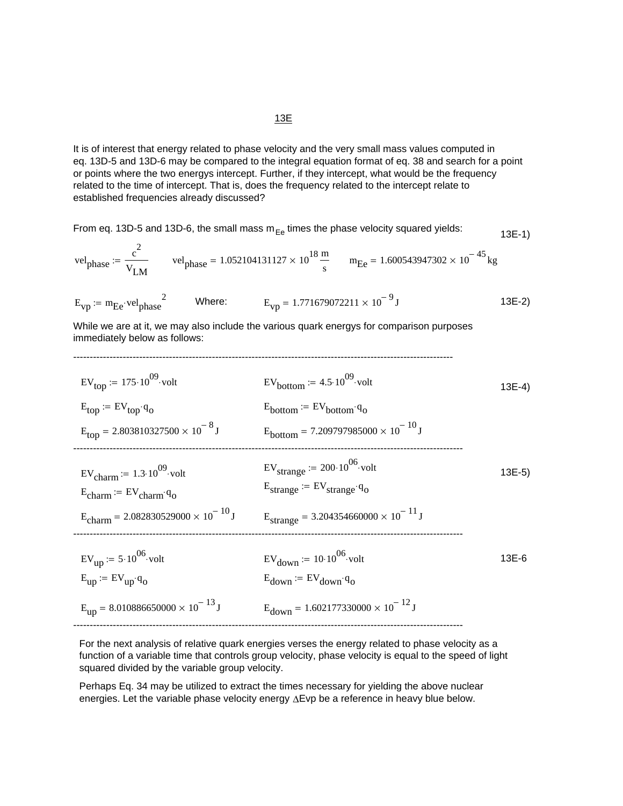#### It is of interest that energy related to phase velocity and the very small mass values computed in eq. 13D-5 and 13D-6 may be compared to the integral equation format of eq. 38 and search for a point or points where the two energys intercept. Further, if they intercept, what would be the frequency related to the time of intercept. That is, does the frequency related to the intercept relate to established frequencies already discussed?

From eq. 13D-5 and 13D-6, the small mass 
$$
m_{\text{Ee}}
$$
 times the phase velocity squared yields:  
\n
$$
vel_{\text{phase}} := \frac{c^2}{v_{\text{LM}}} \qquad vel_{\text{phase}} = 1.052104131127 \times 10^{18} \frac{m}{s} \qquad m_{\text{Ee}} = 1.600543947302 \times 10^{-45} \text{ kg}
$$
\n
$$
E_{\text{vp}} := m_{\text{Ee}} \cdot vel_{\text{phase}}^2 \qquad \text{Where:} \qquad E_{\text{vp}} = 1.771679072211 \times 10^{-9} \text{ J}
$$
\n
$$
(3E-2)
$$

While we are at it, we may also include the various quark energys for comparison purposes immediately below as follows:

-------------------------------------------------------------------------------------------------------------------

| $EV_{top}$ = 175.10 <sup>09</sup> volt                                                                       | $EV_{bottom}$ := 4.5.10 <sup>09</sup> volt                                                | $13E-4)$ |
|--------------------------------------------------------------------------------------------------------------|-------------------------------------------------------------------------------------------|----------|
| $E_{\text{top}} = EV_{\text{top}} \cdot q_{\text{o}}$<br>$E_{\text{top}} = 2.803810327500 \times 10^{-8}$ J  | $E_{bottom} = EV_{bottom} \cdot q_{o}$<br>$E_{bottom} = 7.209797985000 \times 10^{-10}$ J |          |
|                                                                                                              | $EV_{\text{strange}}$ := 200 $\cdot 10^{06}$ volt                                         |          |
| $EV_{\text{charm}}$ = 1.3.10 <sup>09</sup> volt<br>$E_{\text{charm}} = EV_{\text{charm}} \cdot q_{\text{o}}$ | $E_{strange}$ := $EV_{strange} \cdot q_o$                                                 | $13E-5$  |
| $E_{\text{charm}}$ = 2.082830529000 × 10 <sup>-10</sup> J                                                    | $E_{\text{strange}} = 3.204354660000 \times 10^{-11}$ J                                   |          |
| $EV_{\text{up}} = 5.10^{06}$ volt                                                                            | $EV_{\text{down}} = 10.10^{06}$ volt                                                      | 13E-6    |
| $E_{\text{up}} = EV_{\text{up}} \cdot q_{\text{o}}$                                                          | $E_{down} = EV_{down} q_0$                                                                |          |
| $E_{\text{up}} = 8.010886650000 \times 10^{-13}$ J                                                           | $E_{\text{down}} = 1.602177330000 \times 10^{-12}$ J                                      |          |

For the next analysis of relative quark energies verses the energy related to phase velocity as a function of a variable time that controls group velocity, phase velocity is equal to the speed of light squared divided by the variable group velocity.

Perhaps Eq. 34 may be utilized to extract the times necessary for yielding the above nuclear energies. Let the variable phase velocity energy ∆Evp be a reference in heavy blue below.

#### 13E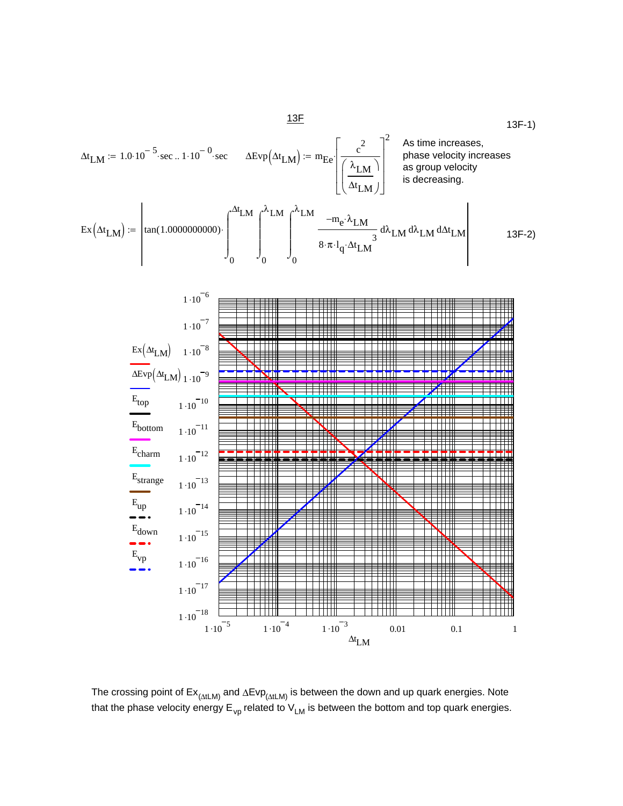$$
\Delta t_{LM} = 1.0 \cdot 10^{-5} \cdot \text{sec. } 1 \cdot 10^{-0} \cdot \text{sec} \qquad \Delta \text{Evp} \Big( \Delta t_{LM} \Big) := m_{Ee} \left[ \frac{c^2}{\left( \frac{\lambda_{LM}}{\Delta t_{LM}} \right)} \right]^2 \quad \text{As time increases, phase velocity increases as group velocity}
$$
\n
$$
\text{Ex} \Big( \Delta t_{LM} \Big) := \left[ \tan(1.000000000) \cdot \int_0^{\Delta t} M \int_0^{\lambda_{LM}} \int_0^{\lambda_{LM}} \frac{-m_e \cdot \lambda_{LM}}{8 \cdot \pi \cdot l_q \cdot \Delta t_{LM}} d\lambda_{LM} d\lambda_{LM} d\Delta t_{LM} \right] \qquad 13F - 2 \Big)
$$



The crossing point of Ex<sub>(∆tLM)</sub> and ∆Evp<sub>(∆tLM)</sub> is between the down and up quark energies. Note that the phase velocity energy  $E_{vp}$  related to  $V_{LM}$  is between the bottom and top quark energies.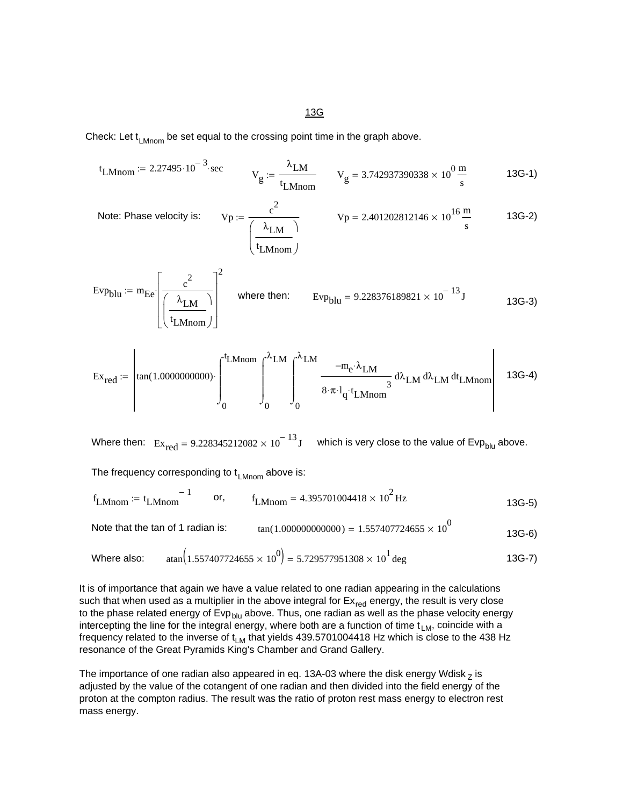13G

Check: Let  $t_{LMnom}$  be set equal to the crossing point time in the graph above.

$$
t_{LMnom} = 2.27495 \cdot 10^{-3} \cdot sec
$$
  $V_g := \frac{\lambda_{LM}}{t_{LMnom}}$   $V_g = 3.742937390338 \times 10^0 \frac{m}{s}$  13G-1)

 $V_p := \frac{c^2}{\left(\lambda_{1,M}\right)}$   $V_p = 2.401202812146 \times 10^{16} \frac{m}{s}$  13G-2)  $\lambda_{\text{LM}}$ t LMnom  $\big($  $\mathsf{L}$ ⎝ ⎞ ⎠ Note: Phase velocity is:

$$
Evp_{\text{blu}} := m_{\text{Ee}} \left[ \frac{c^2}{\left(\frac{\lambda_{\text{LM}}}{t_{\text{LMnom}}}\right)} \right]^2 \quad \text{where then:} \quad Evp_{\text{blu}} = 9.228376189821 \times 10^{-13} \text{J}
$$

$$
\operatorname{Ex}_{\operatorname{red}}:=\left|\tan(1.000000000)\cdot\int_0^{t_{\text{LMnom}}}\int_0^{\lambda_{\text{LM}}}\int_0^{\lambda_{\text{LM}}}\frac{-m_e\cdot\lambda_{\text{LM}}}{8\cdot\pi\cdot l_q\cdot t_{\text{LMnom}}}\mathrm{d}\lambda_{\text{LM}}\,\mathrm{d}\lambda_{\text{LM}}\,\mathrm{d}t_{\text{LMnom}}\right| \quad \text{13G-4)}
$$

Where then:  $Ex_{red} = 9.228345212082 \times 10^{-13}$  J which is very close to the value of Evp<sub>blu</sub> above.

The frequency corresponding to  $t_{LMnom}$  above is:

$$
f_{LMnom} := t_{LMnom}^{-1}
$$
 or,  $f_{LMnom} = 4.395701004418 \times 10^2$  Hz

Note that the tan of 1 radian is:  $tan(1.00000000000) = 1.557407724655 \times 10^{0}$  13G-6)

Where also: 
$$
\tan(1.557407724655 \times 10^0) = 5.729577951308 \times 10^1 \text{ deg}
$$
 13G-7)

It is of importance that again we have a value related to one radian appearing in the calculations such that when used as a multiplier in the above integral for  $E_{\text{red}}$  energy, the result is very close to the phase related energy of Evp<sub>blu</sub> above. Thus, one radian as well as the phase velocity energy intercepting the line for the integral energy, where both are a function of time  $t_{LM}$ , coincide with a frequency related to the inverse of  $t_{LM}$  that yields 439.5701004418 Hz which is close to the 438 Hz resonance of the Great Pyramids King's Chamber and Grand Gallery.

The importance of one radian also appeared in eq. 13A-03 where the disk energy Wdisk  $<sub>Z</sub>$  is</sub> adjusted by the value of the cotangent of one radian and then divided into the field energy of the proton at the compton radius. The result was the ratio of proton rest mass energy to electron rest mass energy.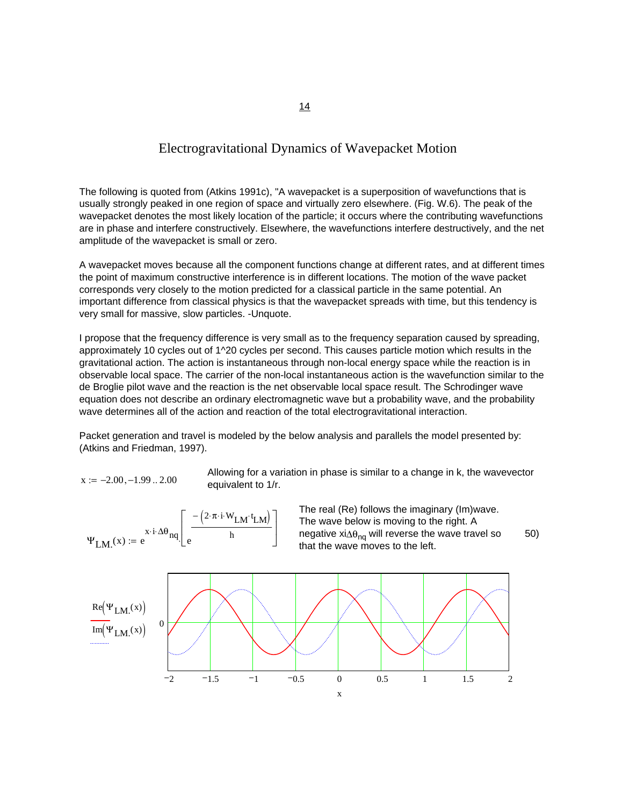### Electrogravitational Dynamics of Wavepacket Motion

The following is quoted from (Atkins 1991c), "A wavepacket is a superposition of wavefunctions that is usually strongly peaked in one region of space and virtually zero elsewhere. (Fig. W.6). The peak of the wavepacket denotes the most likely location of the particle; it occurs where the contributing wavefunctions are in phase and interfere constructively. Elsewhere, the wavefunctions interfere destructively, and the net amplitude of the wavepacket is small or zero.

A wavepacket moves because all the component functions change at different rates, and at different times the point of maximum constructive interference is in different locations. The motion of the wave packet corresponds very closely to the motion predicted for a classical particle in the same potential. An important difference from classical physics is that the wavepacket spreads with time, but this tendency is very small for massive, slow particles. -Unquote.

I propose that the frequency difference is very small as to the frequency separation caused by spreading, approximately 10 cycles out of 1^20 cycles per second. This causes particle motion which results in the gravitational action. The action is instantaneous through non-local energy space while the reaction is in observable local space. The carrier of the non-local instantaneous action is the wavefunction similar to the de Broglie pilot wave and the reaction is the net observable local space result. The Schrodinger wave equation does not describe an ordinary electromagnetic wave but a probability wave, and the probability wave determines all of the action and reaction of the total electrogravitational interaction.

Packet generation and travel is modeled by the below analysis and parallels the model presented by: (Atkins and Friedman, 1997).

 $x := -2.00, -1.99$  .. 2.00 equivalent to 1/r.

Allowing for a variation in phase is similar to a change in k, the wavevector



The real (Re) follows the imaginary (Im)wave. The wave below is moving to the right. A negative xi∆ $\theta_{nq}$  will reverse the wave travel so that the wave moves to the left.  $\Psi_{LM}(x) := e^{x \cdot i \cdot \Delta \theta_{nq}} \left[ e^{\frac{x \cdot i \cdot \Delta \theta_{nq}}{h}} \right]$  negative  $x \cdot i \Delta \theta_{nq}$  will reverse the wave travel so 50)

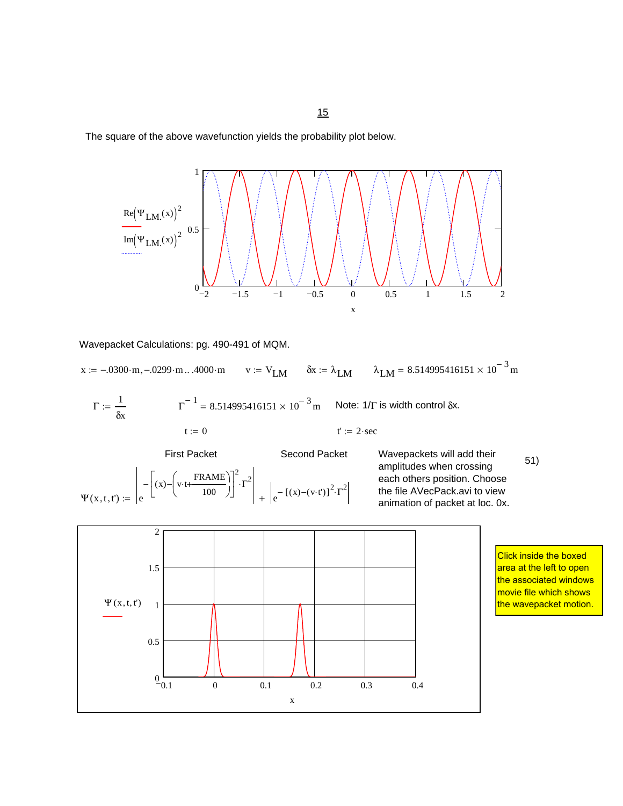The square of the above wavefunction yields the probability plot below.



Wavepacket Calculations: pg. 490-491 of MQM.

 $x := -.0300 \cdot m, -.0299 \cdot m... .4000 \cdot m$   $v := V_{LM}$   $\delta x := \lambda_{LM}$   $\lambda_{LM} = 8.514995416151 \times 10^{-3} m$ 

$$
\Gamma := \frac{1}{\delta x} \qquad \qquad \Gamma^{-1} = 8.514995416151 \times 10^{-3} \text{ m} \qquad \text{Note: } 1/\Gamma \text{ is width control } \delta x.
$$
\n
$$
t := 0 \qquad \qquad t' := 2 \text{ sec}
$$

First Packet Second Packet

 $(x) - \left( v \cdot t + \frac{\text{FRAME}}{\ } \right)$ 

 $-\left[(x)-\left(v \cdot t+\frac{\text{FRAME}}{2}\right)]^2 \cdot \Gamma^2\right]$ 

 $\int v \cdot t +$ ⎝  $(x) - \left(v \cdot t + \frac{\text{FRAME}}{100}\right)$ 

⎣

100

 $\blacksquare$ ⎦

 $e = \left[ e^{-\left[ (x) - (y + t + 100) \right]^{-1}} \right] + \left[ e^{-\left[ (x) - (y + t') \right]^2 \cdot \Gamma^2} \right]$ 

 $\Psi$ (x, t, t') :=

Wavepackets will add their<br>smalltudes when are since (51) amplitudes when crossing each others position. Choose the file AVecPack.avi to view animation of packet at loc. 0x.



Click inside the boxed area at the left to open the associated windows movie file which shows the wavepacket motion.